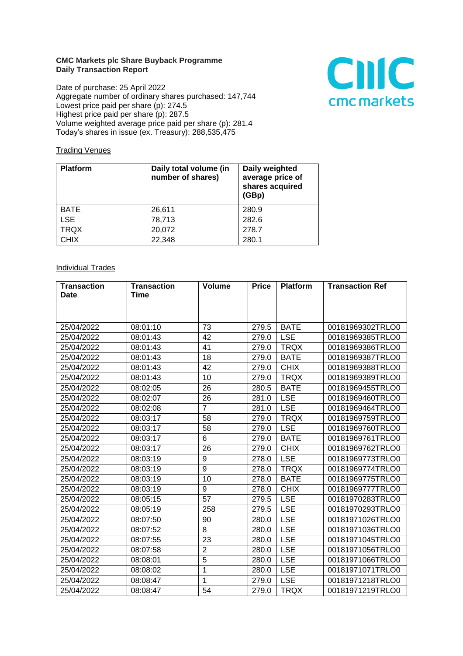## **CMC Markets plc Share Buyback Programme Daily Transaction Report**

Date of purchase: 25 April 2022 Aggregate number of ordinary shares purchased: 147,744 Lowest price paid per share (p): 274.5 Highest price paid per share (p): 287.5 Volume weighted average price paid per share (p): 281.4 Today's shares in issue (ex. Treasury): 288,535,475



## **Trading Venues**

| <b>Platform</b> | Daily total volume (in<br>number of shares) | Daily weighted<br>average price of<br>shares acquired<br>(GBp) |
|-----------------|---------------------------------------------|----------------------------------------------------------------|
| <b>BATE</b>     | 26,611                                      | 280.9                                                          |
| <b>LSE</b>      | 78,713                                      | 282.6                                                          |
| <b>TRQX</b>     | 20,072                                      | 278.7                                                          |
| <b>CHIX</b>     | 22,348                                      | 280.1                                                          |

## **Individual Trades**

| <b>Transaction</b> | <b>Transaction</b> | <b>Volume</b>  | <b>Price</b> | <b>Platform</b> | <b>Transaction Ref</b> |
|--------------------|--------------------|----------------|--------------|-----------------|------------------------|
| Date               | Time               |                |              |                 |                        |
|                    |                    |                |              |                 |                        |
|                    |                    |                |              |                 |                        |
| 25/04/2022         | 08:01:10           | 73             | 279.5        | <b>BATE</b>     | 00181969302TRLO0       |
| 25/04/2022         | 08:01:43           | 42             | 279.0        | <b>LSE</b>      | 00181969385TRLO0       |
| 25/04/2022         | 08:01:43           | 41             | 279.0        | <b>TRQX</b>     | 00181969386TRLO0       |
| 25/04/2022         | 08:01:43           | 18             | 279.0        | <b>BATE</b>     | 00181969387TRLO0       |
| 25/04/2022         | 08:01:43           | 42             | 279.0        | <b>CHIX</b>     | 00181969388TRLO0       |
| 25/04/2022         | 08:01:43           | 10             | 279.0        | <b>TRQX</b>     | 00181969389TRLO0       |
| 25/04/2022         | 08:02:05           | 26             | 280.5        | <b>BATE</b>     | 00181969455TRLO0       |
| 25/04/2022         | 08:02:07           | 26             | 281.0        | <b>LSE</b>      | 00181969460TRLO0       |
| 25/04/2022         | 08:02:08           | $\overline{7}$ | 281.0        | <b>LSE</b>      | 00181969464TRLO0       |
| 25/04/2022         | 08:03:17           | 58             | 279.0        | <b>TRQX</b>     | 00181969759TRLO0       |
| 25/04/2022         | 08:03:17           | 58             | 279.0        | <b>LSE</b>      | 00181969760TRLO0       |
| 25/04/2022         | 08:03:17           | 6              | 279.0        | <b>BATE</b>     | 00181969761TRLO0       |
| 25/04/2022         | 08:03:17           | 26             | 279.0        | <b>CHIX</b>     | 00181969762TRLO0       |
| 25/04/2022         | 08:03:19           | 9              | 278.0        | <b>LSE</b>      | 00181969773TRLO0       |
| 25/04/2022         | 08:03:19           | 9              | 278.0        | <b>TRQX</b>     | 00181969774TRLO0       |
| 25/04/2022         | 08:03:19           | 10             | 278.0        | <b>BATE</b>     | 00181969775TRLO0       |
| 25/04/2022         | 08:03:19           | 9              | 278.0        | <b>CHIX</b>     | 00181969777TRLO0       |
| 25/04/2022         | 08:05:15           | 57             | 279.5        | <b>LSE</b>      | 00181970283TRLO0       |
| 25/04/2022         | 08:05:19           | 258            | 279.5        | <b>LSE</b>      | 00181970293TRLO0       |
| 25/04/2022         | 08:07:50           | 90             | 280.0        | <b>LSE</b>      | 00181971026TRLO0       |
| 25/04/2022         | 08:07:52           | 8              | 280.0        | <b>LSE</b>      | 00181971036TRLO0       |
| 25/04/2022         | 08:07:55           | 23             | 280.0        | <b>LSE</b>      | 00181971045TRLO0       |
| 25/04/2022         | 08:07:58           | $\overline{2}$ | 280.0        | <b>LSE</b>      | 00181971056TRLO0       |
| 25/04/2022         | 08:08:01           | 5              | 280.0        | <b>LSE</b>      | 00181971066TRLO0       |
| 25/04/2022         | 08:08:02           | 1              | 280.0        | <b>LSE</b>      | 00181971071TRLO0       |
| 25/04/2022         | 08:08:47           | 1              | 279.0        | <b>LSE</b>      | 00181971218TRLO0       |
| 25/04/2022         | 08:08:47           | 54             | 279.0        | <b>TRQX</b>     | 00181971219TRLO0       |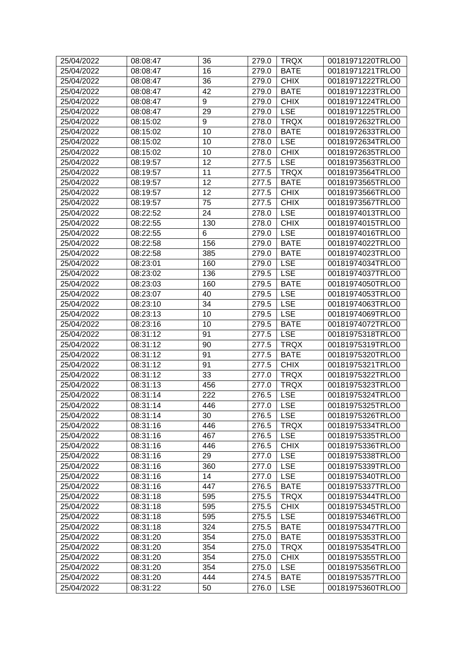| 25/04/2022 | 08:08:47 | 36  | 279.0 | <b>TRQX</b>                  | 00181971220TRLO0 |
|------------|----------|-----|-------|------------------------------|------------------|
| 25/04/2022 | 08:08:47 | 16  | 279.0 | <b>BATE</b>                  | 00181971221TRLO0 |
| 25/04/2022 | 08:08:47 | 36  | 279.0 | <b>CHIX</b>                  | 00181971222TRLO0 |
| 25/04/2022 | 08:08:47 | 42  | 279.0 | <b>BATE</b>                  | 00181971223TRLO0 |
| 25/04/2022 | 08:08:47 | 9   | 279.0 | <b>CHIX</b>                  | 00181971224TRLO0 |
| 25/04/2022 | 08:08:47 | 29  | 279.0 | <b>LSE</b>                   | 00181971225TRLO0 |
| 25/04/2022 | 08:15:02 | 9   | 278.0 | <b>TRQX</b>                  | 00181972632TRLO0 |
| 25/04/2022 | 08:15:02 | 10  | 278.0 | <b>BATE</b>                  | 00181972633TRLO0 |
| 25/04/2022 | 08:15:02 | 10  | 278.0 | <b>LSE</b>                   | 00181972634TRLO0 |
| 25/04/2022 | 08:15:02 | 10  | 278.0 | <b>CHIX</b>                  | 00181972635TRLO0 |
| 25/04/2022 | 08:19:57 | 12  | 277.5 | <b>LSE</b>                   | 00181973563TRLO0 |
| 25/04/2022 | 08:19:57 | 11  | 277.5 | <b>TRQX</b>                  | 00181973564TRLO0 |
| 25/04/2022 | 08:19:57 | 12  | 277.5 | <b>BATE</b>                  | 00181973565TRLO0 |
| 25/04/2022 | 08:19:57 | 12  | 277.5 | <b>CHIX</b>                  | 00181973566TRLO0 |
| 25/04/2022 | 08:19:57 | 75  | 277.5 | <b>CHIX</b>                  | 00181973567TRLO0 |
| 25/04/2022 | 08:22:52 | 24  | 278.0 | <b>LSE</b>                   | 00181974013TRLO0 |
| 25/04/2022 | 08:22:55 | 130 | 278.0 | <b>CHIX</b>                  | 00181974015TRLO0 |
| 25/04/2022 | 08:22:55 | 6   | 279.0 | <b>LSE</b>                   | 00181974016TRLO0 |
| 25/04/2022 | 08:22:58 | 156 | 279.0 | <b>BATE</b>                  | 00181974022TRLO0 |
| 25/04/2022 | 08:22:58 | 385 | 279.0 | <b>BATE</b>                  | 00181974023TRLO0 |
| 25/04/2022 | 08:23:01 | 160 | 279.0 | <b>LSE</b>                   | 00181974034TRLO0 |
| 25/04/2022 | 08:23:02 | 136 | 279.5 | <b>LSE</b>                   | 00181974037TRLO0 |
| 25/04/2022 | 08:23:03 | 160 | 279.5 | <b>BATE</b>                  | 00181974050TRLO0 |
| 25/04/2022 | 08:23:07 | 40  | 279.5 | <b>LSE</b>                   | 00181974053TRLO0 |
| 25/04/2022 | 08:23:10 | 34  | 279.5 | <b>LSE</b>                   | 00181974063TRLO0 |
| 25/04/2022 | 08:23:13 | 10  | 279.5 | <b>LSE</b>                   | 00181974069TRLO0 |
| 25/04/2022 | 08:23:16 | 10  | 279.5 | <b>BATE</b>                  | 00181974072TRLO0 |
| 25/04/2022 | 08:31:12 | 91  | 277.5 | <b>LSE</b>                   | 00181975318TRLO0 |
| 25/04/2022 | 08:31:12 | 90  | 277.5 | <b>TRQX</b>                  | 00181975319TRLO0 |
| 25/04/2022 | 08:31:12 | 91  | 277.5 | <b>BATE</b>                  | 00181975320TRLO0 |
| 25/04/2022 | 08:31:12 | 91  | 277.5 | <b>CHIX</b>                  | 00181975321TRLO0 |
| 25/04/2022 | 08:31:12 | 33  | 277.0 | <b>TRQX</b>                  | 00181975322TRLO0 |
| 25/04/2022 | 08:31:13 | 456 | 277.0 | <b>TRQX</b>                  | 00181975323TRLO0 |
| 25/04/2022 | 08:31:14 | 222 | 276.5 | <b>LSE</b>                   | 00181975324TRLO0 |
| 25/04/2022 | 08:31:14 | 446 | 277.0 | $\overline{\phantom{a}}$ LSE | 00181975325TRLO0 |
| 25/04/2022 | 08:31:14 | 30  | 276.5 | <b>LSE</b>                   | 00181975326TRLO0 |
| 25/04/2022 | 08:31:16 | 446 | 276.5 | <b>TRQX</b>                  | 00181975334TRLO0 |
| 25/04/2022 | 08:31:16 | 467 | 276.5 | <b>LSE</b>                   | 00181975335TRLO0 |
| 25/04/2022 | 08:31:16 | 446 | 276.5 | <b>CHIX</b>                  | 00181975336TRLO0 |
| 25/04/2022 | 08:31:16 | 29  | 277.0 | <b>LSE</b>                   | 00181975338TRLO0 |
| 25/04/2022 | 08:31:16 | 360 | 277.0 | <b>LSE</b>                   | 00181975339TRLO0 |
| 25/04/2022 | 08:31:16 | 14  |       | <b>LSE</b>                   | 00181975340TRLO0 |
|            |          |     | 277.0 |                              |                  |
| 25/04/2022 | 08:31:16 | 447 | 276.5 | <b>BATE</b>                  | 00181975337TRLO0 |
| 25/04/2022 | 08:31:18 | 595 | 275.5 | <b>TRQX</b>                  | 00181975344TRLO0 |
| 25/04/2022 | 08:31:18 | 595 | 275.5 | <b>CHIX</b>                  | 00181975345TRLO0 |
| 25/04/2022 | 08:31:18 | 595 | 275.5 | <b>LSE</b>                   | 00181975346TRLO0 |
| 25/04/2022 | 08:31:18 | 324 | 275.5 | <b>BATE</b>                  | 00181975347TRLO0 |
| 25/04/2022 | 08:31:20 | 354 | 275.0 | <b>BATE</b>                  | 00181975353TRLO0 |
| 25/04/2022 | 08:31:20 | 354 | 275.0 | <b>TRQX</b>                  | 00181975354TRLO0 |
| 25/04/2022 | 08:31:20 | 354 | 275.0 | <b>CHIX</b>                  | 00181975355TRLO0 |
| 25/04/2022 | 08:31:20 | 354 | 275.0 | <b>LSE</b>                   | 00181975356TRLO0 |
| 25/04/2022 | 08:31:20 | 444 | 274.5 | <b>BATE</b>                  | 00181975357TRLO0 |
| 25/04/2022 | 08:31:22 | 50  | 276.0 | <b>LSE</b>                   | 00181975360TRLO0 |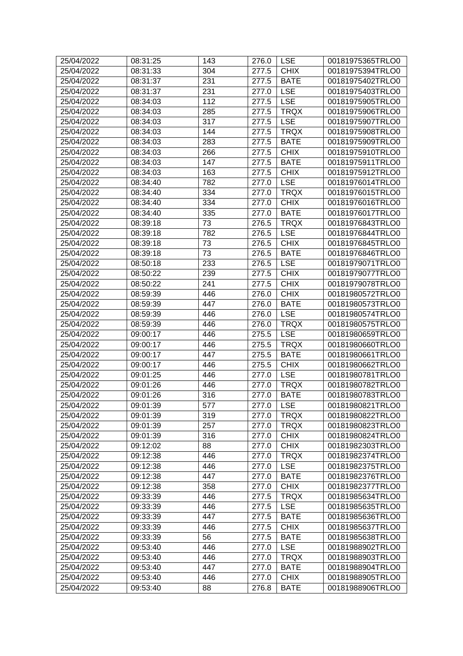| 25/04/2022 | 08:31:25 | 143 | 276.0 | <b>LSE</b>  | 00181975365TRLO0 |
|------------|----------|-----|-------|-------------|------------------|
| 25/04/2022 | 08:31:33 | 304 | 277.5 | <b>CHIX</b> | 00181975394TRLO0 |
| 25/04/2022 | 08:31:37 | 231 | 277.5 | <b>BATE</b> | 00181975402TRLO0 |
| 25/04/2022 | 08:31:37 | 231 | 277.0 | <b>LSE</b>  | 00181975403TRLO0 |
| 25/04/2022 | 08:34:03 | 112 | 277.5 | <b>LSE</b>  | 00181975905TRLO0 |
| 25/04/2022 | 08:34:03 | 285 | 277.5 | <b>TRQX</b> | 00181975906TRLO0 |
| 25/04/2022 | 08:34:03 | 317 | 277.5 | <b>LSE</b>  | 00181975907TRLO0 |
| 25/04/2022 | 08:34:03 | 144 | 277.5 | <b>TRQX</b> | 00181975908TRLO0 |
| 25/04/2022 | 08:34:03 | 283 | 277.5 | <b>BATE</b> | 00181975909TRLO0 |
| 25/04/2022 | 08:34:03 | 266 | 277.5 | <b>CHIX</b> | 00181975910TRLO0 |
| 25/04/2022 | 08:34:03 | 147 | 277.5 | <b>BATE</b> | 00181975911TRLO0 |
| 25/04/2022 | 08:34:03 | 163 | 277.5 | <b>CHIX</b> | 00181975912TRLO0 |
| 25/04/2022 | 08:34:40 | 782 | 277.0 | <b>LSE</b>  | 00181976014TRLO0 |
| 25/04/2022 | 08:34:40 | 334 | 277.0 | <b>TRQX</b> | 00181976015TRLO0 |
| 25/04/2022 | 08:34:40 | 334 | 277.0 | <b>CHIX</b> | 00181976016TRLO0 |
| 25/04/2022 | 08:34:40 | 335 | 277.0 | <b>BATE</b> | 00181976017TRLO0 |
| 25/04/2022 | 08:39:18 | 73  | 276.5 | <b>TRQX</b> | 00181976843TRLO0 |
| 25/04/2022 | 08:39:18 | 782 | 276.5 | <b>LSE</b>  | 00181976844TRLO0 |
| 25/04/2022 | 08:39:18 | 73  | 276.5 | <b>CHIX</b> | 00181976845TRLO0 |
| 25/04/2022 | 08:39:18 | 73  | 276.5 | <b>BATE</b> | 00181976846TRLO0 |
| 25/04/2022 | 08:50:18 | 233 | 276.5 | <b>LSE</b>  | 00181979071TRLO0 |
| 25/04/2022 | 08:50:22 | 239 | 277.5 | <b>CHIX</b> | 00181979077TRLO0 |
| 25/04/2022 | 08:50:22 | 241 | 277.5 | <b>CHIX</b> | 00181979078TRLO0 |
|            |          |     |       |             |                  |
| 25/04/2022 | 08:59:39 | 446 | 276.0 | <b>CHIX</b> | 00181980572TRLO0 |
| 25/04/2022 | 08:59:39 | 447 | 276.0 | <b>BATE</b> | 00181980573TRLO0 |
| 25/04/2022 | 08:59:39 | 446 | 276.0 | <b>LSE</b>  | 00181980574TRLO0 |
| 25/04/2022 | 08:59:39 | 446 | 276.0 | <b>TRQX</b> | 00181980575TRLO0 |
| 25/04/2022 | 09:00:17 | 446 | 275.5 | <b>LSE</b>  | 00181980659TRLO0 |
| 25/04/2022 | 09:00:17 | 446 | 275.5 | <b>TRQX</b> | 00181980660TRLO0 |
| 25/04/2022 | 09:00:17 | 447 | 275.5 | <b>BATE</b> | 00181980661TRLO0 |
| 25/04/2022 | 09:00:17 | 446 | 275.5 | <b>CHIX</b> | 00181980662TRLO0 |
| 25/04/2022 | 09:01:25 | 446 | 277.0 | <b>LSE</b>  | 00181980781TRLO0 |
| 25/04/2022 | 09:01:26 | 446 | 277.0 | <b>TRQX</b> | 00181980782TRLO0 |
| 25/04/2022 | 09:01:26 | 316 | 277.0 | <b>BATE</b> | 00181980783TRLO0 |
| 25/04/2022 | 09:01:39 | 577 | 277.0 | <b>LSE</b>  | 00181980821TRLO0 |
| 25/04/2022 | 09:01:39 | 319 | 277.0 | <b>TRQX</b> | 00181980822TRLO0 |
| 25/04/2022 | 09:01:39 | 257 | 277.0 | <b>TRQX</b> | 00181980823TRLO0 |
| 25/04/2022 | 09:01:39 | 316 | 277.0 | <b>CHIX</b> | 00181980824TRLO0 |
| 25/04/2022 | 09:12:02 | 88  | 277.0 | <b>CHIX</b> | 00181982303TRLO0 |
| 25/04/2022 | 09:12:38 | 446 | 277.0 | <b>TRQX</b> | 00181982374TRLO0 |
| 25/04/2022 | 09:12:38 | 446 | 277.0 | <b>LSE</b>  | 00181982375TRLO0 |
| 25/04/2022 | 09:12:38 | 447 | 277.0 | <b>BATE</b> | 00181982376TRLO0 |
| 25/04/2022 | 09:12:38 | 358 | 277.0 | <b>CHIX</b> | 00181982377TRLO0 |
| 25/04/2022 | 09:33:39 | 446 | 277.5 | <b>TRQX</b> | 00181985634TRLO0 |
| 25/04/2022 | 09:33:39 | 446 | 277.5 | <b>LSE</b>  | 00181985635TRLO0 |
| 25/04/2022 | 09:33:39 | 447 | 277.5 | <b>BATE</b> | 00181985636TRLO0 |
| 25/04/2022 | 09:33:39 | 446 | 277.5 | <b>CHIX</b> | 00181985637TRLO0 |
| 25/04/2022 | 09:33:39 | 56  | 277.5 | <b>BATE</b> | 00181985638TRLO0 |
| 25/04/2022 | 09:53:40 | 446 | 277.0 | <b>LSE</b>  | 00181988902TRLO0 |
| 25/04/2022 | 09:53:40 | 446 | 277.0 | <b>TRQX</b> | 00181988903TRLO0 |
| 25/04/2022 | 09:53:40 | 447 | 277.0 | <b>BATE</b> | 00181988904TRLO0 |
| 25/04/2022 | 09:53:40 | 446 | 277.0 | <b>CHIX</b> | 00181988905TRLO0 |
| 25/04/2022 | 09:53:40 | 88  | 276.8 | <b>BATE</b> | 00181988906TRLO0 |
|            |          |     |       |             |                  |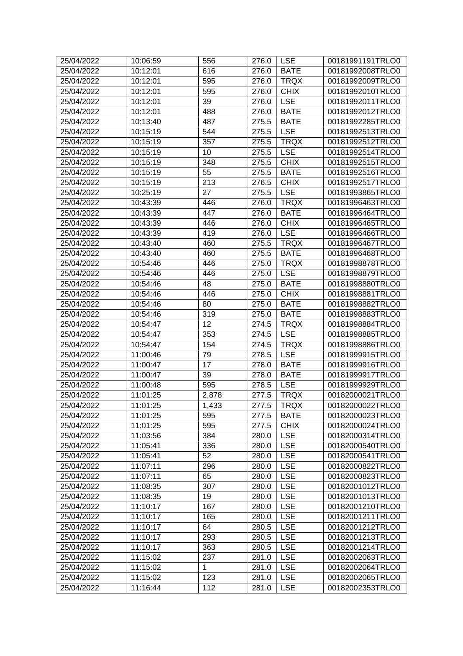| 25/04/2022 | 10:06:59 | 556          | 276.0              | <b>LSE</b>  | 00181991191TRLO0 |
|------------|----------|--------------|--------------------|-------------|------------------|
| 25/04/2022 | 10:12:01 | 616          | 276.0              | <b>BATE</b> | 00181992008TRLO0 |
| 25/04/2022 | 10:12:01 | 595          | 276.0              | <b>TRQX</b> | 00181992009TRLO0 |
| 25/04/2022 | 10:12:01 | 595          | 276.0              | <b>CHIX</b> | 00181992010TRLO0 |
| 25/04/2022 | 10:12:01 | 39           | 276.0              | <b>LSE</b>  | 00181992011TRLO0 |
| 25/04/2022 | 10:12:01 | 488          | 276.0              | <b>BATE</b> | 00181992012TRLO0 |
| 25/04/2022 | 10:13:40 | 487          | 275.5              | <b>BATE</b> | 00181992285TRLO0 |
| 25/04/2022 | 10:15:19 | 544          | 275.5              | <b>LSE</b>  | 00181992513TRLO0 |
| 25/04/2022 | 10:15:19 | 357          | 275.5              | <b>TRQX</b> | 00181992512TRLO0 |
| 25/04/2022 | 10:15:19 | 10           | 275.5              | <b>LSE</b>  | 00181992514TRLO0 |
| 25/04/2022 | 10:15:19 | 348          | 275.5              | <b>CHIX</b> | 00181992515TRLO0 |
| 25/04/2022 | 10:15:19 | 55           | 275.5              | <b>BATE</b> | 00181992516TRLO0 |
| 25/04/2022 | 10:15:19 | 213          | 276.5              | <b>CHIX</b> | 00181992517TRLO0 |
| 25/04/2022 | 10:25:19 | 27           | 275.5              | <b>LSE</b>  | 00181993865TRLO0 |
| 25/04/2022 | 10:43:39 | 446          | 276.0              | <b>TRQX</b> | 00181996463TRLO0 |
| 25/04/2022 | 10:43:39 | 447          | 276.0              | <b>BATE</b> | 00181996464TRLO0 |
| 25/04/2022 | 10:43:39 | 446          | 276.0              | <b>CHIX</b> | 00181996465TRLO0 |
| 25/04/2022 | 10:43:39 | 419          | 276.0              | <b>LSE</b>  | 00181996466TRLO0 |
| 25/04/2022 | 10:43:40 | 460          | 275.5              | <b>TRQX</b> | 00181996467TRLO0 |
| 25/04/2022 | 10:43:40 | 460          | 275.5              | <b>BATE</b> | 00181996468TRLO0 |
| 25/04/2022 | 10:54:46 | 446          | 275.0              | <b>TRQX</b> | 00181998878TRLO0 |
| 25/04/2022 | 10:54:46 | 446          | 275.0              | <b>LSE</b>  | 00181998879TRLO0 |
| 25/04/2022 | 10:54:46 | 48           | 275.0              | <b>BATE</b> | 00181998880TRLO0 |
| 25/04/2022 | 10:54:46 | 446          | 275.0              | <b>CHIX</b> | 00181998881TRLO0 |
| 25/04/2022 | 10:54:46 | 80           | 275.0              | <b>BATE</b> | 00181998882TRLO0 |
| 25/04/2022 | 10:54:46 | 319          | 275.0              | <b>BATE</b> | 00181998883TRLO0 |
| 25/04/2022 | 10:54:47 | 12           | 274.5              | <b>TRQX</b> | 00181998884TRLO0 |
| 25/04/2022 | 10:54:47 | 353          | 274.5              | <b>LSE</b>  | 00181998885TRLO0 |
| 25/04/2022 | 10:54:47 | 154          | 274.5              | <b>TRQX</b> | 00181998886TRLO0 |
| 25/04/2022 | 11:00:46 | 79           | 278.5              | <b>LSE</b>  | 00181999915TRLO0 |
| 25/04/2022 | 11:00:47 | 17           | 278.0              | <b>BATE</b> | 00181999916TRLO0 |
| 25/04/2022 | 11:00:47 | 39           | 278.0              | <b>BATE</b> | 00181999917TRLO0 |
| 25/04/2022 | 11:00:48 | 595          | 278.5              | <b>LSE</b>  | 00181999929TRLO0 |
| 25/04/2022 | 11:01:25 | 2,878        | 277.5              | <b>TRQX</b> | 00182000021TRLO0 |
| 25/04/2022 | 11:01:25 | 1,433        | $\overline{277.5}$ | <b>TRQX</b> | 00182000022TRLO0 |
| 25/04/2022 | 11:01:25 | 595          | 277.5              | <b>BATE</b> | 00182000023TRLO0 |
| 25/04/2022 | 11:01:25 | 595          | 277.5              | <b>CHIX</b> | 00182000024TRLO0 |
| 25/04/2022 | 11:03:56 | 384          | 280.0              | <b>LSE</b>  | 00182000314TRLO0 |
| 25/04/2022 | 11:05:41 | 336          | 280.0              | <b>LSE</b>  | 00182000540TRLO0 |
| 25/04/2022 | 11:05:41 | 52           | 280.0              | <b>LSE</b>  | 00182000541TRLO0 |
| 25/04/2022 | 11:07:11 | 296          | 280.0              | <b>LSE</b>  | 00182000822TRLO0 |
| 25/04/2022 | 11:07:11 | 65           | 280.0              | <b>LSE</b>  | 00182000823TRLO0 |
| 25/04/2022 | 11:08:35 | 307          | 280.0              | <b>LSE</b>  | 00182001012TRLO0 |
| 25/04/2022 | 11:08:35 | 19           | 280.0              | <b>LSE</b>  | 00182001013TRLO0 |
| 25/04/2022 | 11:10:17 | 167          | 280.0              | <b>LSE</b>  | 00182001210TRLO0 |
| 25/04/2022 | 11:10:17 | 165          | 280.0              | <b>LSE</b>  | 00182001211TRLO0 |
| 25/04/2022 | 11:10:17 | 64           | 280.5              | <b>LSE</b>  | 00182001212TRLO0 |
| 25/04/2022 | 11:10:17 | 293          | 280.5              | <b>LSE</b>  | 00182001213TRLO0 |
| 25/04/2022 | 11:10:17 | 363          | 280.5              | <b>LSE</b>  | 00182001214TRLO0 |
| 25/04/2022 | 11:15:02 | 237          | 281.0              | <b>LSE</b>  | 00182002063TRLO0 |
| 25/04/2022 | 11:15:02 | $\mathbf{1}$ | 281.0              | <b>LSE</b>  | 00182002064TRLO0 |
| 25/04/2022 | 11:15:02 | 123          | 281.0              | <b>LSE</b>  | 00182002065TRLO0 |
| 25/04/2022 | 11:16:44 | 112          | 281.0              | <b>LSE</b>  | 00182002353TRLO0 |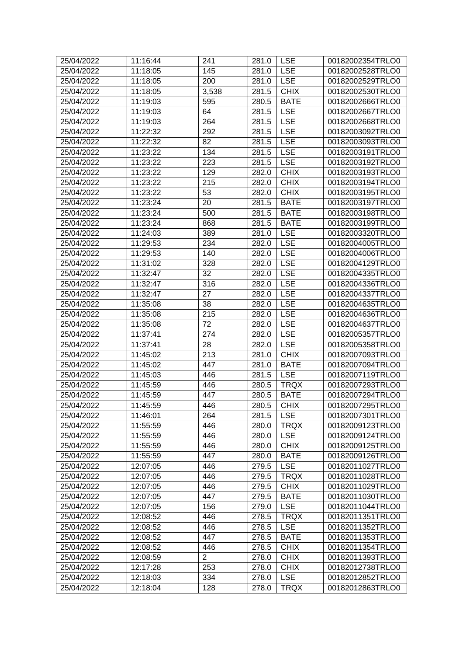| 145<br><b>LSE</b><br>00182002528TRLO0<br>25/04/2022<br>11:18:05<br>281.0<br>11:18:05<br>200<br><b>LSE</b><br>00182002529TRLO0<br>25/04/2022<br>281.0<br><b>CHIX</b><br>25/04/2022<br>3,538<br>281.5<br>00182002530TRLO0<br>11:18:05<br>25/04/2022<br><b>BATE</b><br>11:19:03<br>595<br>280.5<br>00182002666TRLO0<br>64<br>25/04/2022<br>11:19:03<br><b>LSE</b><br>00182002667TRLO0<br>281.5<br>264<br><b>LSE</b><br>25/04/2022<br>11:19:03<br>281.5<br>00182002668TRLO0<br>292<br><b>LSE</b><br>25/04/2022<br>11:22:32<br>00182003092TRLO0<br>281.5<br>25/04/2022<br>11:22:32<br>82<br>281.5<br><b>LSE</b><br>00182003093TRLO0<br><b>LSE</b><br>25/04/2022<br>11:23:22<br>134<br>281.5<br>00182003191TRLO0<br>223<br><b>LSE</b><br>25/04/2022<br>11:23:22<br>281.5<br>00182003192TRLO0<br><b>CHIX</b><br>25/04/2022<br>11:23:22<br>129<br>282.0<br>00182003193TRLO0<br><b>CHIX</b><br>25/04/2022<br>11:23:22<br>215<br>282.0<br>00182003194TRLO0<br>53<br><b>CHIX</b><br>25/04/2022<br>11:23:22<br>282.0<br>00182003195TRLO0<br>25/04/2022<br>11:23:24<br>20<br>281.5<br><b>BATE</b><br>00182003197TRLO0<br>25/04/2022<br>11:23:24<br>500<br>281.5<br><b>BATE</b><br>00182003198TRLO0<br>25/04/2022<br>11:23:24<br>868<br><b>BATE</b><br>00182003199TRLO0<br>281.5<br>25/04/2022<br>11:24:03<br>389<br><b>LSE</b><br>00182003320TRLO0<br>281.0<br>234<br><b>LSE</b><br>25/04/2022<br>11:29:53<br>282.0<br>00182004005TRLO0<br><b>LSE</b><br>25/04/2022<br>11:29:53<br>140<br>00182004006TRLO0<br>282.0<br>25/04/2022<br>11:31:02<br><b>LSE</b><br>00182004129TRLO0<br>328<br>282.0<br>32<br><b>LSE</b><br>25/04/2022<br>282.0<br>00182004335TRLO0<br>11:32:47<br>316<br><b>LSE</b><br>25/04/2022<br>11:32:47<br>00182004336TRLO0<br>282.0<br>25/04/2022<br>11:32:47<br>27<br><b>LSE</b><br>00182004337TRLO0<br>282.0<br>38<br><b>LSE</b><br>25/04/2022<br>11:35:08<br>282.0<br>00182004635TRLO0<br>215<br><b>LSE</b><br>25/04/2022<br>11:35:08<br>282.0<br>00182004636TRLO0<br>25/04/2022<br>11:35:08<br>72<br><b>LSE</b><br>00182004637TRLO0<br>282.0<br><b>LSE</b><br>25/04/2022<br>11:37:41<br>274<br>282.0<br>00182005357TRLO0<br><b>LSE</b><br>25/04/2022<br>28<br>00182005358TRLO0<br>11:37:41<br>282.0<br><b>CHIX</b><br>25/04/2022<br>11:45:02<br>213<br>281.0<br>00182007093TRLO0<br>447<br><b>BATE</b><br>25/04/2022<br>11:45:02<br>281.0<br>00182007094TRLO0<br><b>LSE</b><br>00182007119TRLO0<br>25/04/2022<br>11:45:03<br>446<br>281.5<br>25/04/2022<br>11:45:59<br>446<br>280.5<br><b>TRQX</b><br>00182007293TRLO0<br>25/04/2022<br>11:45:59<br>447<br><b>BATE</b><br>00182007294TRLO0<br>280.5<br><b>CHIX</b><br>25/04/2022<br>11:45:59<br>446<br>280.5<br>00182007295TRLO0<br>25/04/2022<br>11:46:01<br>264<br>281.5<br><b>LSE</b><br>00182007301TRLO0<br><b>TRQX</b><br>25/04/2022<br>11:55:59<br>446<br>280.0<br>00182009123TRLO0<br><b>LSE</b><br>25/04/2022<br>11:55:59<br>446<br>00182009124TRLO0<br>280.0<br><b>CHIX</b><br>25/04/2022<br>00182009125TRLO0<br>11:55:59<br>446<br>280.0<br>447<br><b>BATE</b><br>25/04/2022<br>11:55:59<br>280.0<br>00182009126TRLO0<br><b>LSE</b><br>25/04/2022<br>12:07:05<br>446<br>279.5<br>00182011027TRLO0<br><b>TRQX</b><br>25/04/2022<br>12:07:05<br>446<br>279.5<br>00182011028TRLO0<br><b>CHIX</b><br>25/04/2022<br>446<br>00182011029TRLO0<br>12:07:05<br>279.5<br><b>BATE</b><br>25/04/2022<br>12:07:05<br>447<br>279.5<br>00182011030TRLO0<br><b>LSE</b><br>25/04/2022<br>12:07:05<br>156<br>279.0<br>00182011044TRLO0<br><b>TRQX</b><br>25/04/2022<br>12:08:52<br>446<br>278.5<br>00182011351TRLO0<br><b>LSE</b><br>25/04/2022<br>12:08:52<br>446<br>278.5<br>00182011352TRLO0<br>25/04/2022<br>12:08:52<br>447<br>278.5<br><b>BATE</b><br>00182011353TRLO0<br>25/04/2022<br>446<br><b>CHIX</b><br>12:08:52<br>278.5<br>00182011354TRLO0<br>$\overline{2}$<br><b>CHIX</b><br>25/04/2022<br>12:08:59<br>278.0<br>00182011393TRLO0<br><b>CHIX</b><br>25/04/2022<br>12:17:28<br>253<br>278.0<br>00182012738TRLO0<br>334<br><b>LSE</b><br>25/04/2022<br>12:18:03<br>278.0<br>00182012852TRLO0<br>25/04/2022<br>12:18:04<br>128<br>278.0<br><b>TRQX</b><br>00182012863TRLO0 | 25/04/2022 | 11:16:44 | 241 | 281.0 | <b>LSE</b> | 00182002354TRLO0 |
|-------------------------------------------------------------------------------------------------------------------------------------------------------------------------------------------------------------------------------------------------------------------------------------------------------------------------------------------------------------------------------------------------------------------------------------------------------------------------------------------------------------------------------------------------------------------------------------------------------------------------------------------------------------------------------------------------------------------------------------------------------------------------------------------------------------------------------------------------------------------------------------------------------------------------------------------------------------------------------------------------------------------------------------------------------------------------------------------------------------------------------------------------------------------------------------------------------------------------------------------------------------------------------------------------------------------------------------------------------------------------------------------------------------------------------------------------------------------------------------------------------------------------------------------------------------------------------------------------------------------------------------------------------------------------------------------------------------------------------------------------------------------------------------------------------------------------------------------------------------------------------------------------------------------------------------------------------------------------------------------------------------------------------------------------------------------------------------------------------------------------------------------------------------------------------------------------------------------------------------------------------------------------------------------------------------------------------------------------------------------------------------------------------------------------------------------------------------------------------------------------------------------------------------------------------------------------------------------------------------------------------------------------------------------------------------------------------------------------------------------------------------------------------------------------------------------------------------------------------------------------------------------------------------------------------------------------------------------------------------------------------------------------------------------------------------------------------------------------------------------------------------------------------------------------------------------------------------------------------------------------------------------------------------------------------------------------------------------------------------------------------------------------------------------------------------------------------------------------------------------------------------------------------------------------------------------------------------------------------------------------------------------------------------------------------------------------------------------------------------------------------------------------------------------------------------------------------------------------------------------------------------------------------------------------------------------------------------------------------------------------------------------------------------------------------------------------------------------------------------------------------------------|------------|----------|-----|-------|------------|------------------|
|                                                                                                                                                                                                                                                                                                                                                                                                                                                                                                                                                                                                                                                                                                                                                                                                                                                                                                                                                                                                                                                                                                                                                                                                                                                                                                                                                                                                                                                                                                                                                                                                                                                                                                                                                                                                                                                                                                                                                                                                                                                                                                                                                                                                                                                                                                                                                                                                                                                                                                                                                                                                                                                                                                                                                                                                                                                                                                                                                                                                                                                                                                                                                                                                                                                                                                                                                                                                                                                                                                                                                                                                                                                                                                                                                                                                                                                                                                                                                                                                                                                                                                                                           |            |          |     |       |            |                  |
|                                                                                                                                                                                                                                                                                                                                                                                                                                                                                                                                                                                                                                                                                                                                                                                                                                                                                                                                                                                                                                                                                                                                                                                                                                                                                                                                                                                                                                                                                                                                                                                                                                                                                                                                                                                                                                                                                                                                                                                                                                                                                                                                                                                                                                                                                                                                                                                                                                                                                                                                                                                                                                                                                                                                                                                                                                                                                                                                                                                                                                                                                                                                                                                                                                                                                                                                                                                                                                                                                                                                                                                                                                                                                                                                                                                                                                                                                                                                                                                                                                                                                                                                           |            |          |     |       |            |                  |
|                                                                                                                                                                                                                                                                                                                                                                                                                                                                                                                                                                                                                                                                                                                                                                                                                                                                                                                                                                                                                                                                                                                                                                                                                                                                                                                                                                                                                                                                                                                                                                                                                                                                                                                                                                                                                                                                                                                                                                                                                                                                                                                                                                                                                                                                                                                                                                                                                                                                                                                                                                                                                                                                                                                                                                                                                                                                                                                                                                                                                                                                                                                                                                                                                                                                                                                                                                                                                                                                                                                                                                                                                                                                                                                                                                                                                                                                                                                                                                                                                                                                                                                                           |            |          |     |       |            |                  |
|                                                                                                                                                                                                                                                                                                                                                                                                                                                                                                                                                                                                                                                                                                                                                                                                                                                                                                                                                                                                                                                                                                                                                                                                                                                                                                                                                                                                                                                                                                                                                                                                                                                                                                                                                                                                                                                                                                                                                                                                                                                                                                                                                                                                                                                                                                                                                                                                                                                                                                                                                                                                                                                                                                                                                                                                                                                                                                                                                                                                                                                                                                                                                                                                                                                                                                                                                                                                                                                                                                                                                                                                                                                                                                                                                                                                                                                                                                                                                                                                                                                                                                                                           |            |          |     |       |            |                  |
|                                                                                                                                                                                                                                                                                                                                                                                                                                                                                                                                                                                                                                                                                                                                                                                                                                                                                                                                                                                                                                                                                                                                                                                                                                                                                                                                                                                                                                                                                                                                                                                                                                                                                                                                                                                                                                                                                                                                                                                                                                                                                                                                                                                                                                                                                                                                                                                                                                                                                                                                                                                                                                                                                                                                                                                                                                                                                                                                                                                                                                                                                                                                                                                                                                                                                                                                                                                                                                                                                                                                                                                                                                                                                                                                                                                                                                                                                                                                                                                                                                                                                                                                           |            |          |     |       |            |                  |
|                                                                                                                                                                                                                                                                                                                                                                                                                                                                                                                                                                                                                                                                                                                                                                                                                                                                                                                                                                                                                                                                                                                                                                                                                                                                                                                                                                                                                                                                                                                                                                                                                                                                                                                                                                                                                                                                                                                                                                                                                                                                                                                                                                                                                                                                                                                                                                                                                                                                                                                                                                                                                                                                                                                                                                                                                                                                                                                                                                                                                                                                                                                                                                                                                                                                                                                                                                                                                                                                                                                                                                                                                                                                                                                                                                                                                                                                                                                                                                                                                                                                                                                                           |            |          |     |       |            |                  |
|                                                                                                                                                                                                                                                                                                                                                                                                                                                                                                                                                                                                                                                                                                                                                                                                                                                                                                                                                                                                                                                                                                                                                                                                                                                                                                                                                                                                                                                                                                                                                                                                                                                                                                                                                                                                                                                                                                                                                                                                                                                                                                                                                                                                                                                                                                                                                                                                                                                                                                                                                                                                                                                                                                                                                                                                                                                                                                                                                                                                                                                                                                                                                                                                                                                                                                                                                                                                                                                                                                                                                                                                                                                                                                                                                                                                                                                                                                                                                                                                                                                                                                                                           |            |          |     |       |            |                  |
|                                                                                                                                                                                                                                                                                                                                                                                                                                                                                                                                                                                                                                                                                                                                                                                                                                                                                                                                                                                                                                                                                                                                                                                                                                                                                                                                                                                                                                                                                                                                                                                                                                                                                                                                                                                                                                                                                                                                                                                                                                                                                                                                                                                                                                                                                                                                                                                                                                                                                                                                                                                                                                                                                                                                                                                                                                                                                                                                                                                                                                                                                                                                                                                                                                                                                                                                                                                                                                                                                                                                                                                                                                                                                                                                                                                                                                                                                                                                                                                                                                                                                                                                           |            |          |     |       |            |                  |
|                                                                                                                                                                                                                                                                                                                                                                                                                                                                                                                                                                                                                                                                                                                                                                                                                                                                                                                                                                                                                                                                                                                                                                                                                                                                                                                                                                                                                                                                                                                                                                                                                                                                                                                                                                                                                                                                                                                                                                                                                                                                                                                                                                                                                                                                                                                                                                                                                                                                                                                                                                                                                                                                                                                                                                                                                                                                                                                                                                                                                                                                                                                                                                                                                                                                                                                                                                                                                                                                                                                                                                                                                                                                                                                                                                                                                                                                                                                                                                                                                                                                                                                                           |            |          |     |       |            |                  |
|                                                                                                                                                                                                                                                                                                                                                                                                                                                                                                                                                                                                                                                                                                                                                                                                                                                                                                                                                                                                                                                                                                                                                                                                                                                                                                                                                                                                                                                                                                                                                                                                                                                                                                                                                                                                                                                                                                                                                                                                                                                                                                                                                                                                                                                                                                                                                                                                                                                                                                                                                                                                                                                                                                                                                                                                                                                                                                                                                                                                                                                                                                                                                                                                                                                                                                                                                                                                                                                                                                                                                                                                                                                                                                                                                                                                                                                                                                                                                                                                                                                                                                                                           |            |          |     |       |            |                  |
|                                                                                                                                                                                                                                                                                                                                                                                                                                                                                                                                                                                                                                                                                                                                                                                                                                                                                                                                                                                                                                                                                                                                                                                                                                                                                                                                                                                                                                                                                                                                                                                                                                                                                                                                                                                                                                                                                                                                                                                                                                                                                                                                                                                                                                                                                                                                                                                                                                                                                                                                                                                                                                                                                                                                                                                                                                                                                                                                                                                                                                                                                                                                                                                                                                                                                                                                                                                                                                                                                                                                                                                                                                                                                                                                                                                                                                                                                                                                                                                                                                                                                                                                           |            |          |     |       |            |                  |
|                                                                                                                                                                                                                                                                                                                                                                                                                                                                                                                                                                                                                                                                                                                                                                                                                                                                                                                                                                                                                                                                                                                                                                                                                                                                                                                                                                                                                                                                                                                                                                                                                                                                                                                                                                                                                                                                                                                                                                                                                                                                                                                                                                                                                                                                                                                                                                                                                                                                                                                                                                                                                                                                                                                                                                                                                                                                                                                                                                                                                                                                                                                                                                                                                                                                                                                                                                                                                                                                                                                                                                                                                                                                                                                                                                                                                                                                                                                                                                                                                                                                                                                                           |            |          |     |       |            |                  |
|                                                                                                                                                                                                                                                                                                                                                                                                                                                                                                                                                                                                                                                                                                                                                                                                                                                                                                                                                                                                                                                                                                                                                                                                                                                                                                                                                                                                                                                                                                                                                                                                                                                                                                                                                                                                                                                                                                                                                                                                                                                                                                                                                                                                                                                                                                                                                                                                                                                                                                                                                                                                                                                                                                                                                                                                                                                                                                                                                                                                                                                                                                                                                                                                                                                                                                                                                                                                                                                                                                                                                                                                                                                                                                                                                                                                                                                                                                                                                                                                                                                                                                                                           |            |          |     |       |            |                  |
|                                                                                                                                                                                                                                                                                                                                                                                                                                                                                                                                                                                                                                                                                                                                                                                                                                                                                                                                                                                                                                                                                                                                                                                                                                                                                                                                                                                                                                                                                                                                                                                                                                                                                                                                                                                                                                                                                                                                                                                                                                                                                                                                                                                                                                                                                                                                                                                                                                                                                                                                                                                                                                                                                                                                                                                                                                                                                                                                                                                                                                                                                                                                                                                                                                                                                                                                                                                                                                                                                                                                                                                                                                                                                                                                                                                                                                                                                                                                                                                                                                                                                                                                           |            |          |     |       |            |                  |
|                                                                                                                                                                                                                                                                                                                                                                                                                                                                                                                                                                                                                                                                                                                                                                                                                                                                                                                                                                                                                                                                                                                                                                                                                                                                                                                                                                                                                                                                                                                                                                                                                                                                                                                                                                                                                                                                                                                                                                                                                                                                                                                                                                                                                                                                                                                                                                                                                                                                                                                                                                                                                                                                                                                                                                                                                                                                                                                                                                                                                                                                                                                                                                                                                                                                                                                                                                                                                                                                                                                                                                                                                                                                                                                                                                                                                                                                                                                                                                                                                                                                                                                                           |            |          |     |       |            |                  |
|                                                                                                                                                                                                                                                                                                                                                                                                                                                                                                                                                                                                                                                                                                                                                                                                                                                                                                                                                                                                                                                                                                                                                                                                                                                                                                                                                                                                                                                                                                                                                                                                                                                                                                                                                                                                                                                                                                                                                                                                                                                                                                                                                                                                                                                                                                                                                                                                                                                                                                                                                                                                                                                                                                                                                                                                                                                                                                                                                                                                                                                                                                                                                                                                                                                                                                                                                                                                                                                                                                                                                                                                                                                                                                                                                                                                                                                                                                                                                                                                                                                                                                                                           |            |          |     |       |            |                  |
|                                                                                                                                                                                                                                                                                                                                                                                                                                                                                                                                                                                                                                                                                                                                                                                                                                                                                                                                                                                                                                                                                                                                                                                                                                                                                                                                                                                                                                                                                                                                                                                                                                                                                                                                                                                                                                                                                                                                                                                                                                                                                                                                                                                                                                                                                                                                                                                                                                                                                                                                                                                                                                                                                                                                                                                                                                                                                                                                                                                                                                                                                                                                                                                                                                                                                                                                                                                                                                                                                                                                                                                                                                                                                                                                                                                                                                                                                                                                                                                                                                                                                                                                           |            |          |     |       |            |                  |
|                                                                                                                                                                                                                                                                                                                                                                                                                                                                                                                                                                                                                                                                                                                                                                                                                                                                                                                                                                                                                                                                                                                                                                                                                                                                                                                                                                                                                                                                                                                                                                                                                                                                                                                                                                                                                                                                                                                                                                                                                                                                                                                                                                                                                                                                                                                                                                                                                                                                                                                                                                                                                                                                                                                                                                                                                                                                                                                                                                                                                                                                                                                                                                                                                                                                                                                                                                                                                                                                                                                                                                                                                                                                                                                                                                                                                                                                                                                                                                                                                                                                                                                                           |            |          |     |       |            |                  |
|                                                                                                                                                                                                                                                                                                                                                                                                                                                                                                                                                                                                                                                                                                                                                                                                                                                                                                                                                                                                                                                                                                                                                                                                                                                                                                                                                                                                                                                                                                                                                                                                                                                                                                                                                                                                                                                                                                                                                                                                                                                                                                                                                                                                                                                                                                                                                                                                                                                                                                                                                                                                                                                                                                                                                                                                                                                                                                                                                                                                                                                                                                                                                                                                                                                                                                                                                                                                                                                                                                                                                                                                                                                                                                                                                                                                                                                                                                                                                                                                                                                                                                                                           |            |          |     |       |            |                  |
|                                                                                                                                                                                                                                                                                                                                                                                                                                                                                                                                                                                                                                                                                                                                                                                                                                                                                                                                                                                                                                                                                                                                                                                                                                                                                                                                                                                                                                                                                                                                                                                                                                                                                                                                                                                                                                                                                                                                                                                                                                                                                                                                                                                                                                                                                                                                                                                                                                                                                                                                                                                                                                                                                                                                                                                                                                                                                                                                                                                                                                                                                                                                                                                                                                                                                                                                                                                                                                                                                                                                                                                                                                                                                                                                                                                                                                                                                                                                                                                                                                                                                                                                           |            |          |     |       |            |                  |
|                                                                                                                                                                                                                                                                                                                                                                                                                                                                                                                                                                                                                                                                                                                                                                                                                                                                                                                                                                                                                                                                                                                                                                                                                                                                                                                                                                                                                                                                                                                                                                                                                                                                                                                                                                                                                                                                                                                                                                                                                                                                                                                                                                                                                                                                                                                                                                                                                                                                                                                                                                                                                                                                                                                                                                                                                                                                                                                                                                                                                                                                                                                                                                                                                                                                                                                                                                                                                                                                                                                                                                                                                                                                                                                                                                                                                                                                                                                                                                                                                                                                                                                                           |            |          |     |       |            |                  |
|                                                                                                                                                                                                                                                                                                                                                                                                                                                                                                                                                                                                                                                                                                                                                                                                                                                                                                                                                                                                                                                                                                                                                                                                                                                                                                                                                                                                                                                                                                                                                                                                                                                                                                                                                                                                                                                                                                                                                                                                                                                                                                                                                                                                                                                                                                                                                                                                                                                                                                                                                                                                                                                                                                                                                                                                                                                                                                                                                                                                                                                                                                                                                                                                                                                                                                                                                                                                                                                                                                                                                                                                                                                                                                                                                                                                                                                                                                                                                                                                                                                                                                                                           |            |          |     |       |            |                  |
|                                                                                                                                                                                                                                                                                                                                                                                                                                                                                                                                                                                                                                                                                                                                                                                                                                                                                                                                                                                                                                                                                                                                                                                                                                                                                                                                                                                                                                                                                                                                                                                                                                                                                                                                                                                                                                                                                                                                                                                                                                                                                                                                                                                                                                                                                                                                                                                                                                                                                                                                                                                                                                                                                                                                                                                                                                                                                                                                                                                                                                                                                                                                                                                                                                                                                                                                                                                                                                                                                                                                                                                                                                                                                                                                                                                                                                                                                                                                                                                                                                                                                                                                           |            |          |     |       |            |                  |
|                                                                                                                                                                                                                                                                                                                                                                                                                                                                                                                                                                                                                                                                                                                                                                                                                                                                                                                                                                                                                                                                                                                                                                                                                                                                                                                                                                                                                                                                                                                                                                                                                                                                                                                                                                                                                                                                                                                                                                                                                                                                                                                                                                                                                                                                                                                                                                                                                                                                                                                                                                                                                                                                                                                                                                                                                                                                                                                                                                                                                                                                                                                                                                                                                                                                                                                                                                                                                                                                                                                                                                                                                                                                                                                                                                                                                                                                                                                                                                                                                                                                                                                                           |            |          |     |       |            |                  |
|                                                                                                                                                                                                                                                                                                                                                                                                                                                                                                                                                                                                                                                                                                                                                                                                                                                                                                                                                                                                                                                                                                                                                                                                                                                                                                                                                                                                                                                                                                                                                                                                                                                                                                                                                                                                                                                                                                                                                                                                                                                                                                                                                                                                                                                                                                                                                                                                                                                                                                                                                                                                                                                                                                                                                                                                                                                                                                                                                                                                                                                                                                                                                                                                                                                                                                                                                                                                                                                                                                                                                                                                                                                                                                                                                                                                                                                                                                                                                                                                                                                                                                                                           |            |          |     |       |            |                  |
|                                                                                                                                                                                                                                                                                                                                                                                                                                                                                                                                                                                                                                                                                                                                                                                                                                                                                                                                                                                                                                                                                                                                                                                                                                                                                                                                                                                                                                                                                                                                                                                                                                                                                                                                                                                                                                                                                                                                                                                                                                                                                                                                                                                                                                                                                                                                                                                                                                                                                                                                                                                                                                                                                                                                                                                                                                                                                                                                                                                                                                                                                                                                                                                                                                                                                                                                                                                                                                                                                                                                                                                                                                                                                                                                                                                                                                                                                                                                                                                                                                                                                                                                           |            |          |     |       |            |                  |
|                                                                                                                                                                                                                                                                                                                                                                                                                                                                                                                                                                                                                                                                                                                                                                                                                                                                                                                                                                                                                                                                                                                                                                                                                                                                                                                                                                                                                                                                                                                                                                                                                                                                                                                                                                                                                                                                                                                                                                                                                                                                                                                                                                                                                                                                                                                                                                                                                                                                                                                                                                                                                                                                                                                                                                                                                                                                                                                                                                                                                                                                                                                                                                                                                                                                                                                                                                                                                                                                                                                                                                                                                                                                                                                                                                                                                                                                                                                                                                                                                                                                                                                                           |            |          |     |       |            |                  |
|                                                                                                                                                                                                                                                                                                                                                                                                                                                                                                                                                                                                                                                                                                                                                                                                                                                                                                                                                                                                                                                                                                                                                                                                                                                                                                                                                                                                                                                                                                                                                                                                                                                                                                                                                                                                                                                                                                                                                                                                                                                                                                                                                                                                                                                                                                                                                                                                                                                                                                                                                                                                                                                                                                                                                                                                                                                                                                                                                                                                                                                                                                                                                                                                                                                                                                                                                                                                                                                                                                                                                                                                                                                                                                                                                                                                                                                                                                                                                                                                                                                                                                                                           |            |          |     |       |            |                  |
|                                                                                                                                                                                                                                                                                                                                                                                                                                                                                                                                                                                                                                                                                                                                                                                                                                                                                                                                                                                                                                                                                                                                                                                                                                                                                                                                                                                                                                                                                                                                                                                                                                                                                                                                                                                                                                                                                                                                                                                                                                                                                                                                                                                                                                                                                                                                                                                                                                                                                                                                                                                                                                                                                                                                                                                                                                                                                                                                                                                                                                                                                                                                                                                                                                                                                                                                                                                                                                                                                                                                                                                                                                                                                                                                                                                                                                                                                                                                                                                                                                                                                                                                           |            |          |     |       |            |                  |
|                                                                                                                                                                                                                                                                                                                                                                                                                                                                                                                                                                                                                                                                                                                                                                                                                                                                                                                                                                                                                                                                                                                                                                                                                                                                                                                                                                                                                                                                                                                                                                                                                                                                                                                                                                                                                                                                                                                                                                                                                                                                                                                                                                                                                                                                                                                                                                                                                                                                                                                                                                                                                                                                                                                                                                                                                                                                                                                                                                                                                                                                                                                                                                                                                                                                                                                                                                                                                                                                                                                                                                                                                                                                                                                                                                                                                                                                                                                                                                                                                                                                                                                                           |            |          |     |       |            |                  |
|                                                                                                                                                                                                                                                                                                                                                                                                                                                                                                                                                                                                                                                                                                                                                                                                                                                                                                                                                                                                                                                                                                                                                                                                                                                                                                                                                                                                                                                                                                                                                                                                                                                                                                                                                                                                                                                                                                                                                                                                                                                                                                                                                                                                                                                                                                                                                                                                                                                                                                                                                                                                                                                                                                                                                                                                                                                                                                                                                                                                                                                                                                                                                                                                                                                                                                                                                                                                                                                                                                                                                                                                                                                                                                                                                                                                                                                                                                                                                                                                                                                                                                                                           |            |          |     |       |            |                  |
|                                                                                                                                                                                                                                                                                                                                                                                                                                                                                                                                                                                                                                                                                                                                                                                                                                                                                                                                                                                                                                                                                                                                                                                                                                                                                                                                                                                                                                                                                                                                                                                                                                                                                                                                                                                                                                                                                                                                                                                                                                                                                                                                                                                                                                                                                                                                                                                                                                                                                                                                                                                                                                                                                                                                                                                                                                                                                                                                                                                                                                                                                                                                                                                                                                                                                                                                                                                                                                                                                                                                                                                                                                                                                                                                                                                                                                                                                                                                                                                                                                                                                                                                           |            |          |     |       |            |                  |
|                                                                                                                                                                                                                                                                                                                                                                                                                                                                                                                                                                                                                                                                                                                                                                                                                                                                                                                                                                                                                                                                                                                                                                                                                                                                                                                                                                                                                                                                                                                                                                                                                                                                                                                                                                                                                                                                                                                                                                                                                                                                                                                                                                                                                                                                                                                                                                                                                                                                                                                                                                                                                                                                                                                                                                                                                                                                                                                                                                                                                                                                                                                                                                                                                                                                                                                                                                                                                                                                                                                                                                                                                                                                                                                                                                                                                                                                                                                                                                                                                                                                                                                                           |            |          |     |       |            |                  |
|                                                                                                                                                                                                                                                                                                                                                                                                                                                                                                                                                                                                                                                                                                                                                                                                                                                                                                                                                                                                                                                                                                                                                                                                                                                                                                                                                                                                                                                                                                                                                                                                                                                                                                                                                                                                                                                                                                                                                                                                                                                                                                                                                                                                                                                                                                                                                                                                                                                                                                                                                                                                                                                                                                                                                                                                                                                                                                                                                                                                                                                                                                                                                                                                                                                                                                                                                                                                                                                                                                                                                                                                                                                                                                                                                                                                                                                                                                                                                                                                                                                                                                                                           |            |          |     |       |            |                  |
|                                                                                                                                                                                                                                                                                                                                                                                                                                                                                                                                                                                                                                                                                                                                                                                                                                                                                                                                                                                                                                                                                                                                                                                                                                                                                                                                                                                                                                                                                                                                                                                                                                                                                                                                                                                                                                                                                                                                                                                                                                                                                                                                                                                                                                                                                                                                                                                                                                                                                                                                                                                                                                                                                                                                                                                                                                                                                                                                                                                                                                                                                                                                                                                                                                                                                                                                                                                                                                                                                                                                                                                                                                                                                                                                                                                                                                                                                                                                                                                                                                                                                                                                           |            |          |     |       |            |                  |
|                                                                                                                                                                                                                                                                                                                                                                                                                                                                                                                                                                                                                                                                                                                                                                                                                                                                                                                                                                                                                                                                                                                                                                                                                                                                                                                                                                                                                                                                                                                                                                                                                                                                                                                                                                                                                                                                                                                                                                                                                                                                                                                                                                                                                                                                                                                                                                                                                                                                                                                                                                                                                                                                                                                                                                                                                                                                                                                                                                                                                                                                                                                                                                                                                                                                                                                                                                                                                                                                                                                                                                                                                                                                                                                                                                                                                                                                                                                                                                                                                                                                                                                                           |            |          |     |       |            |                  |
|                                                                                                                                                                                                                                                                                                                                                                                                                                                                                                                                                                                                                                                                                                                                                                                                                                                                                                                                                                                                                                                                                                                                                                                                                                                                                                                                                                                                                                                                                                                                                                                                                                                                                                                                                                                                                                                                                                                                                                                                                                                                                                                                                                                                                                                                                                                                                                                                                                                                                                                                                                                                                                                                                                                                                                                                                                                                                                                                                                                                                                                                                                                                                                                                                                                                                                                                                                                                                                                                                                                                                                                                                                                                                                                                                                                                                                                                                                                                                                                                                                                                                                                                           |            |          |     |       |            |                  |
|                                                                                                                                                                                                                                                                                                                                                                                                                                                                                                                                                                                                                                                                                                                                                                                                                                                                                                                                                                                                                                                                                                                                                                                                                                                                                                                                                                                                                                                                                                                                                                                                                                                                                                                                                                                                                                                                                                                                                                                                                                                                                                                                                                                                                                                                                                                                                                                                                                                                                                                                                                                                                                                                                                                                                                                                                                                                                                                                                                                                                                                                                                                                                                                                                                                                                                                                                                                                                                                                                                                                                                                                                                                                                                                                                                                                                                                                                                                                                                                                                                                                                                                                           |            |          |     |       |            |                  |
|                                                                                                                                                                                                                                                                                                                                                                                                                                                                                                                                                                                                                                                                                                                                                                                                                                                                                                                                                                                                                                                                                                                                                                                                                                                                                                                                                                                                                                                                                                                                                                                                                                                                                                                                                                                                                                                                                                                                                                                                                                                                                                                                                                                                                                                                                                                                                                                                                                                                                                                                                                                                                                                                                                                                                                                                                                                                                                                                                                                                                                                                                                                                                                                                                                                                                                                                                                                                                                                                                                                                                                                                                                                                                                                                                                                                                                                                                                                                                                                                                                                                                                                                           |            |          |     |       |            |                  |
|                                                                                                                                                                                                                                                                                                                                                                                                                                                                                                                                                                                                                                                                                                                                                                                                                                                                                                                                                                                                                                                                                                                                                                                                                                                                                                                                                                                                                                                                                                                                                                                                                                                                                                                                                                                                                                                                                                                                                                                                                                                                                                                                                                                                                                                                                                                                                                                                                                                                                                                                                                                                                                                                                                                                                                                                                                                                                                                                                                                                                                                                                                                                                                                                                                                                                                                                                                                                                                                                                                                                                                                                                                                                                                                                                                                                                                                                                                                                                                                                                                                                                                                                           |            |          |     |       |            |                  |
|                                                                                                                                                                                                                                                                                                                                                                                                                                                                                                                                                                                                                                                                                                                                                                                                                                                                                                                                                                                                                                                                                                                                                                                                                                                                                                                                                                                                                                                                                                                                                                                                                                                                                                                                                                                                                                                                                                                                                                                                                                                                                                                                                                                                                                                                                                                                                                                                                                                                                                                                                                                                                                                                                                                                                                                                                                                                                                                                                                                                                                                                                                                                                                                                                                                                                                                                                                                                                                                                                                                                                                                                                                                                                                                                                                                                                                                                                                                                                                                                                                                                                                                                           |            |          |     |       |            |                  |
|                                                                                                                                                                                                                                                                                                                                                                                                                                                                                                                                                                                                                                                                                                                                                                                                                                                                                                                                                                                                                                                                                                                                                                                                                                                                                                                                                                                                                                                                                                                                                                                                                                                                                                                                                                                                                                                                                                                                                                                                                                                                                                                                                                                                                                                                                                                                                                                                                                                                                                                                                                                                                                                                                                                                                                                                                                                                                                                                                                                                                                                                                                                                                                                                                                                                                                                                                                                                                                                                                                                                                                                                                                                                                                                                                                                                                                                                                                                                                                                                                                                                                                                                           |            |          |     |       |            |                  |
|                                                                                                                                                                                                                                                                                                                                                                                                                                                                                                                                                                                                                                                                                                                                                                                                                                                                                                                                                                                                                                                                                                                                                                                                                                                                                                                                                                                                                                                                                                                                                                                                                                                                                                                                                                                                                                                                                                                                                                                                                                                                                                                                                                                                                                                                                                                                                                                                                                                                                                                                                                                                                                                                                                                                                                                                                                                                                                                                                                                                                                                                                                                                                                                                                                                                                                                                                                                                                                                                                                                                                                                                                                                                                                                                                                                                                                                                                                                                                                                                                                                                                                                                           |            |          |     |       |            |                  |
|                                                                                                                                                                                                                                                                                                                                                                                                                                                                                                                                                                                                                                                                                                                                                                                                                                                                                                                                                                                                                                                                                                                                                                                                                                                                                                                                                                                                                                                                                                                                                                                                                                                                                                                                                                                                                                                                                                                                                                                                                                                                                                                                                                                                                                                                                                                                                                                                                                                                                                                                                                                                                                                                                                                                                                                                                                                                                                                                                                                                                                                                                                                                                                                                                                                                                                                                                                                                                                                                                                                                                                                                                                                                                                                                                                                                                                                                                                                                                                                                                                                                                                                                           |            |          |     |       |            |                  |
|                                                                                                                                                                                                                                                                                                                                                                                                                                                                                                                                                                                                                                                                                                                                                                                                                                                                                                                                                                                                                                                                                                                                                                                                                                                                                                                                                                                                                                                                                                                                                                                                                                                                                                                                                                                                                                                                                                                                                                                                                                                                                                                                                                                                                                                                                                                                                                                                                                                                                                                                                                                                                                                                                                                                                                                                                                                                                                                                                                                                                                                                                                                                                                                                                                                                                                                                                                                                                                                                                                                                                                                                                                                                                                                                                                                                                                                                                                                                                                                                                                                                                                                                           |            |          |     |       |            |                  |
|                                                                                                                                                                                                                                                                                                                                                                                                                                                                                                                                                                                                                                                                                                                                                                                                                                                                                                                                                                                                                                                                                                                                                                                                                                                                                                                                                                                                                                                                                                                                                                                                                                                                                                                                                                                                                                                                                                                                                                                                                                                                                                                                                                                                                                                                                                                                                                                                                                                                                                                                                                                                                                                                                                                                                                                                                                                                                                                                                                                                                                                                                                                                                                                                                                                                                                                                                                                                                                                                                                                                                                                                                                                                                                                                                                                                                                                                                                                                                                                                                                                                                                                                           |            |          |     |       |            |                  |
|                                                                                                                                                                                                                                                                                                                                                                                                                                                                                                                                                                                                                                                                                                                                                                                                                                                                                                                                                                                                                                                                                                                                                                                                                                                                                                                                                                                                                                                                                                                                                                                                                                                                                                                                                                                                                                                                                                                                                                                                                                                                                                                                                                                                                                                                                                                                                                                                                                                                                                                                                                                                                                                                                                                                                                                                                                                                                                                                                                                                                                                                                                                                                                                                                                                                                                                                                                                                                                                                                                                                                                                                                                                                                                                                                                                                                                                                                                                                                                                                                                                                                                                                           |            |          |     |       |            |                  |
|                                                                                                                                                                                                                                                                                                                                                                                                                                                                                                                                                                                                                                                                                                                                                                                                                                                                                                                                                                                                                                                                                                                                                                                                                                                                                                                                                                                                                                                                                                                                                                                                                                                                                                                                                                                                                                                                                                                                                                                                                                                                                                                                                                                                                                                                                                                                                                                                                                                                                                                                                                                                                                                                                                                                                                                                                                                                                                                                                                                                                                                                                                                                                                                                                                                                                                                                                                                                                                                                                                                                                                                                                                                                                                                                                                                                                                                                                                                                                                                                                                                                                                                                           |            |          |     |       |            |                  |
|                                                                                                                                                                                                                                                                                                                                                                                                                                                                                                                                                                                                                                                                                                                                                                                                                                                                                                                                                                                                                                                                                                                                                                                                                                                                                                                                                                                                                                                                                                                                                                                                                                                                                                                                                                                                                                                                                                                                                                                                                                                                                                                                                                                                                                                                                                                                                                                                                                                                                                                                                                                                                                                                                                                                                                                                                                                                                                                                                                                                                                                                                                                                                                                                                                                                                                                                                                                                                                                                                                                                                                                                                                                                                                                                                                                                                                                                                                                                                                                                                                                                                                                                           |            |          |     |       |            |                  |
|                                                                                                                                                                                                                                                                                                                                                                                                                                                                                                                                                                                                                                                                                                                                                                                                                                                                                                                                                                                                                                                                                                                                                                                                                                                                                                                                                                                                                                                                                                                                                                                                                                                                                                                                                                                                                                                                                                                                                                                                                                                                                                                                                                                                                                                                                                                                                                                                                                                                                                                                                                                                                                                                                                                                                                                                                                                                                                                                                                                                                                                                                                                                                                                                                                                                                                                                                                                                                                                                                                                                                                                                                                                                                                                                                                                                                                                                                                                                                                                                                                                                                                                                           |            |          |     |       |            |                  |
|                                                                                                                                                                                                                                                                                                                                                                                                                                                                                                                                                                                                                                                                                                                                                                                                                                                                                                                                                                                                                                                                                                                                                                                                                                                                                                                                                                                                                                                                                                                                                                                                                                                                                                                                                                                                                                                                                                                                                                                                                                                                                                                                                                                                                                                                                                                                                                                                                                                                                                                                                                                                                                                                                                                                                                                                                                                                                                                                                                                                                                                                                                                                                                                                                                                                                                                                                                                                                                                                                                                                                                                                                                                                                                                                                                                                                                                                                                                                                                                                                                                                                                                                           |            |          |     |       |            |                  |
|                                                                                                                                                                                                                                                                                                                                                                                                                                                                                                                                                                                                                                                                                                                                                                                                                                                                                                                                                                                                                                                                                                                                                                                                                                                                                                                                                                                                                                                                                                                                                                                                                                                                                                                                                                                                                                                                                                                                                                                                                                                                                                                                                                                                                                                                                                                                                                                                                                                                                                                                                                                                                                                                                                                                                                                                                                                                                                                                                                                                                                                                                                                                                                                                                                                                                                                                                                                                                                                                                                                                                                                                                                                                                                                                                                                                                                                                                                                                                                                                                                                                                                                                           |            |          |     |       |            |                  |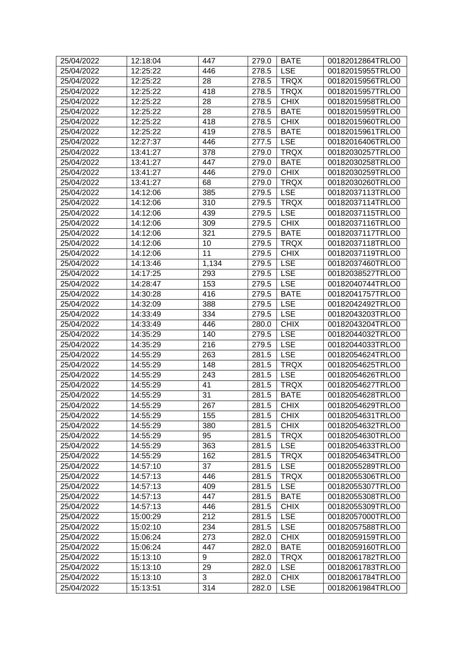| <b>LSE</b><br>25/04/2022<br>12:25:22<br>446<br>278.5<br>00182015955TRLO0<br><b>TRQX</b><br>12:25:22<br>28<br>00182015956TRLO0<br>25/04/2022<br>278.5<br>418<br><b>TRQX</b><br>25/04/2022<br>12:25:22<br>278.5<br>00182015957TRLO0<br>28<br><b>CHIX</b><br>25/04/2022<br>12:25:22<br>00182015958TRLO0<br>278.5<br>12:25:22<br>28<br><b>BATE</b><br>25/04/2022<br>278.5<br>00182015959TRLO0<br>25/04/2022<br>12:25:22<br>418<br><b>CHIX</b><br>278.5<br>00182015960TRLO0<br>25/04/2022<br>12:25:22<br>419<br>278.5<br><b>BATE</b><br>00182015961TRLO0<br><b>LSE</b><br>25/04/2022<br>12:27:37<br>446<br>00182016406TRLO0<br>277.5<br>378<br><b>TRQX</b><br>25/04/2022<br>13:41:27<br>279.0<br>00182030257TRLO0<br>25/04/2022<br>447<br><b>BATE</b><br>00182030258TRLO0<br>13:41:27<br>279.0<br><b>CHIX</b><br>25/04/2022<br>13:41:27<br>446<br>279.0<br>00182030259TRLO0<br>68<br><b>TRQX</b><br>25/04/2022<br>13:41:27<br>279.0<br>00182030260TRLO0<br>385<br>25/04/2022<br>14:12:06<br>279.5<br><b>LSE</b><br>00182037113TRLO0<br><b>TRQX</b><br>25/04/2022<br>310<br>00182037114TRLO0<br>14:12:06<br>279.5<br>439<br><b>LSE</b><br>25/04/2022<br>14:12:06<br>00182037115TRLO0<br>279.5<br>309<br><b>CHIX</b><br>25/04/2022<br>14:12:06<br>00182037116TRLO0<br>279.5<br>321<br><b>BATE</b><br>25/04/2022<br>14:12:06<br>279.5<br>00182037117TRLO0<br>25/04/2022<br>14:12:06<br>10<br><b>TRQX</b><br>00182037118TRLO0<br>279.5<br>25/04/2022<br>11<br><b>CHIX</b><br>00182037119TRLO0<br>14:12:06<br>279.5<br><b>LSE</b><br>25/04/2022<br>00182037460TRLO0<br>14:13:46<br>1,134<br>279.5<br><b>LSE</b><br>25/04/2022<br>14:17:25<br>293<br>00182038527TRLO0<br>279.5<br>153<br><b>LSE</b><br>25/04/2022<br>14:28:47<br>279.5<br>00182040744TRLO0<br>416<br><b>BATE</b><br>25/04/2022<br>14:30:28<br>279.5<br>00182041757TRLO0<br><b>LSE</b><br>25/04/2022<br>14:32:09<br>388<br>00182042492TRLO0<br>279.5<br>25/04/2022<br>14:33:49<br>334<br><b>LSE</b><br>00182043203TRLO0<br>279.5<br><b>CHIX</b><br>446<br>00182043204TRLO0<br>25/04/2022<br>14:33:49<br>280.0<br>140<br><b>LSE</b><br>25/04/2022<br>14:35:29<br>279.5<br>00182044032TRLO0<br>216<br><b>LSE</b><br>25/04/2022<br>14:35:29<br>00182044033TRLO0<br>279.5<br><b>LSE</b><br>25/04/2022<br>14:55:29<br>263<br>00182054624TRLO0<br>281.5<br><b>TRQX</b><br>25/04/2022<br>14:55:29<br>148<br>00182054625TRLO0<br>281.5<br>25/04/2022<br>243<br><b>LSE</b><br>00182054626TRLO0<br>14:55:29<br>281.5<br>41<br>281.5<br><b>TRQX</b><br>00182054627TRLO0<br>25/04/2022<br>14:55:29<br>31<br>25/04/2022<br><b>BATE</b><br>14:55:29<br>281.5<br>00182054628TRLO0<br><b>CHIX</b><br>267<br>281.5<br>00182054629TRLO0<br>25/04/2022<br>14:55:29<br><b>CHIX</b><br>25/04/2022<br>14:55:29<br>155<br>281.5<br>00182054631TRLO0<br>14:55:29<br><b>CHIX</b><br>25/04/2022<br>380<br>281.5<br>00182054632TRLO0<br><b>TRQX</b><br>25/04/2022<br>14:55:29<br>95<br>281.5<br>00182054630TRLO0<br><b>LSE</b><br>25/04/2022<br>14:55:29<br>363<br>281.5<br>00182054633TRLO0<br><b>TRQX</b><br>25/04/2022<br>14:55:29<br>162<br>281.5<br>00182054634TRLO0<br>37<br><b>LSE</b><br>25/04/2022<br>14:57:10<br>281.5<br>00182055289TRLO0<br><b>TRQX</b><br>25/04/2022<br>14:57:13<br>446<br>00182055306TRLO0<br>281.5<br><b>LSE</b><br>00182055307TRLO0<br>25/04/2022<br>14:57:13<br>409<br>281.5<br><b>BATE</b><br>25/04/2022<br>14:57:13<br>447<br>281.5<br>00182055308TRLO0<br><b>CHIX</b><br>25/04/2022<br>14:57:13<br>446<br>281.5<br>00182055309TRLO0<br>212<br><b>LSE</b><br>25/04/2022<br>15:00:29<br>281.5<br>00182057000TRLO0<br>234<br><b>LSE</b><br>25/04/2022<br>15:02:10<br>281.5<br>00182057588TRLO0<br>273<br><b>CHIX</b><br>25/04/2022<br>15:06:24<br>282.0<br>00182059159TRLO0<br><b>BATE</b><br>25/04/2022<br>15:06:24<br>447<br>282.0<br>00182059160TRLO0<br><b>TRQX</b><br>00182061782TRLO0<br>25/04/2022<br>15:13:10<br>9<br>282.0<br><b>LSE</b><br>25/04/2022<br>15:13:10<br>29<br>282.0<br>00182061783TRLO0<br>3<br><b>CHIX</b><br>25/04/2022<br>15:13:10<br>00182061784TRLO0<br>282.0<br>314<br>25/04/2022<br>15:13:51<br><b>LSE</b><br>00182061984TRLO0<br>282.0 | 25/04/2022 | 12:18:04 | 447 | 279.0 | <b>BATE</b> | 00182012864TRLO0 |
|---------------------------------------------------------------------------------------------------------------------------------------------------------------------------------------------------------------------------------------------------------------------------------------------------------------------------------------------------------------------------------------------------------------------------------------------------------------------------------------------------------------------------------------------------------------------------------------------------------------------------------------------------------------------------------------------------------------------------------------------------------------------------------------------------------------------------------------------------------------------------------------------------------------------------------------------------------------------------------------------------------------------------------------------------------------------------------------------------------------------------------------------------------------------------------------------------------------------------------------------------------------------------------------------------------------------------------------------------------------------------------------------------------------------------------------------------------------------------------------------------------------------------------------------------------------------------------------------------------------------------------------------------------------------------------------------------------------------------------------------------------------------------------------------------------------------------------------------------------------------------------------------------------------------------------------------------------------------------------------------------------------------------------------------------------------------------------------------------------------------------------------------------------------------------------------------------------------------------------------------------------------------------------------------------------------------------------------------------------------------------------------------------------------------------------------------------------------------------------------------------------------------------------------------------------------------------------------------------------------------------------------------------------------------------------------------------------------------------------------------------------------------------------------------------------------------------------------------------------------------------------------------------------------------------------------------------------------------------------------------------------------------------------------------------------------------------------------------------------------------------------------------------------------------------------------------------------------------------------------------------------------------------------------------------------------------------------------------------------------------------------------------------------------------------------------------------------------------------------------------------------------------------------------------------------------------------------------------------------------------------------------------------------------------------------------------------------------------------------------------------------------------------------------------------------------------------------------------------------------------------------------------------------------------------------------------------------------------------------------------------------------------------------------------------------------------------------------------------------------------------------|------------|----------|-----|-------|-------------|------------------|
|                                                                                                                                                                                                                                                                                                                                                                                                                                                                                                                                                                                                                                                                                                                                                                                                                                                                                                                                                                                                                                                                                                                                                                                                                                                                                                                                                                                                                                                                                                                                                                                                                                                                                                                                                                                                                                                                                                                                                                                                                                                                                                                                                                                                                                                                                                                                                                                                                                                                                                                                                                                                                                                                                                                                                                                                                                                                                                                                                                                                                                                                                                                                                                                                                                                                                                                                                                                                                                                                                                                                                                                                                                                                                                                                                                                                                                                                                                                                                                                                                                                                                                                                 |            |          |     |       |             |                  |
|                                                                                                                                                                                                                                                                                                                                                                                                                                                                                                                                                                                                                                                                                                                                                                                                                                                                                                                                                                                                                                                                                                                                                                                                                                                                                                                                                                                                                                                                                                                                                                                                                                                                                                                                                                                                                                                                                                                                                                                                                                                                                                                                                                                                                                                                                                                                                                                                                                                                                                                                                                                                                                                                                                                                                                                                                                                                                                                                                                                                                                                                                                                                                                                                                                                                                                                                                                                                                                                                                                                                                                                                                                                                                                                                                                                                                                                                                                                                                                                                                                                                                                                                 |            |          |     |       |             |                  |
|                                                                                                                                                                                                                                                                                                                                                                                                                                                                                                                                                                                                                                                                                                                                                                                                                                                                                                                                                                                                                                                                                                                                                                                                                                                                                                                                                                                                                                                                                                                                                                                                                                                                                                                                                                                                                                                                                                                                                                                                                                                                                                                                                                                                                                                                                                                                                                                                                                                                                                                                                                                                                                                                                                                                                                                                                                                                                                                                                                                                                                                                                                                                                                                                                                                                                                                                                                                                                                                                                                                                                                                                                                                                                                                                                                                                                                                                                                                                                                                                                                                                                                                                 |            |          |     |       |             |                  |
|                                                                                                                                                                                                                                                                                                                                                                                                                                                                                                                                                                                                                                                                                                                                                                                                                                                                                                                                                                                                                                                                                                                                                                                                                                                                                                                                                                                                                                                                                                                                                                                                                                                                                                                                                                                                                                                                                                                                                                                                                                                                                                                                                                                                                                                                                                                                                                                                                                                                                                                                                                                                                                                                                                                                                                                                                                                                                                                                                                                                                                                                                                                                                                                                                                                                                                                                                                                                                                                                                                                                                                                                                                                                                                                                                                                                                                                                                                                                                                                                                                                                                                                                 |            |          |     |       |             |                  |
|                                                                                                                                                                                                                                                                                                                                                                                                                                                                                                                                                                                                                                                                                                                                                                                                                                                                                                                                                                                                                                                                                                                                                                                                                                                                                                                                                                                                                                                                                                                                                                                                                                                                                                                                                                                                                                                                                                                                                                                                                                                                                                                                                                                                                                                                                                                                                                                                                                                                                                                                                                                                                                                                                                                                                                                                                                                                                                                                                                                                                                                                                                                                                                                                                                                                                                                                                                                                                                                                                                                                                                                                                                                                                                                                                                                                                                                                                                                                                                                                                                                                                                                                 |            |          |     |       |             |                  |
|                                                                                                                                                                                                                                                                                                                                                                                                                                                                                                                                                                                                                                                                                                                                                                                                                                                                                                                                                                                                                                                                                                                                                                                                                                                                                                                                                                                                                                                                                                                                                                                                                                                                                                                                                                                                                                                                                                                                                                                                                                                                                                                                                                                                                                                                                                                                                                                                                                                                                                                                                                                                                                                                                                                                                                                                                                                                                                                                                                                                                                                                                                                                                                                                                                                                                                                                                                                                                                                                                                                                                                                                                                                                                                                                                                                                                                                                                                                                                                                                                                                                                                                                 |            |          |     |       |             |                  |
|                                                                                                                                                                                                                                                                                                                                                                                                                                                                                                                                                                                                                                                                                                                                                                                                                                                                                                                                                                                                                                                                                                                                                                                                                                                                                                                                                                                                                                                                                                                                                                                                                                                                                                                                                                                                                                                                                                                                                                                                                                                                                                                                                                                                                                                                                                                                                                                                                                                                                                                                                                                                                                                                                                                                                                                                                                                                                                                                                                                                                                                                                                                                                                                                                                                                                                                                                                                                                                                                                                                                                                                                                                                                                                                                                                                                                                                                                                                                                                                                                                                                                                                                 |            |          |     |       |             |                  |
|                                                                                                                                                                                                                                                                                                                                                                                                                                                                                                                                                                                                                                                                                                                                                                                                                                                                                                                                                                                                                                                                                                                                                                                                                                                                                                                                                                                                                                                                                                                                                                                                                                                                                                                                                                                                                                                                                                                                                                                                                                                                                                                                                                                                                                                                                                                                                                                                                                                                                                                                                                                                                                                                                                                                                                                                                                                                                                                                                                                                                                                                                                                                                                                                                                                                                                                                                                                                                                                                                                                                                                                                                                                                                                                                                                                                                                                                                                                                                                                                                                                                                                                                 |            |          |     |       |             |                  |
|                                                                                                                                                                                                                                                                                                                                                                                                                                                                                                                                                                                                                                                                                                                                                                                                                                                                                                                                                                                                                                                                                                                                                                                                                                                                                                                                                                                                                                                                                                                                                                                                                                                                                                                                                                                                                                                                                                                                                                                                                                                                                                                                                                                                                                                                                                                                                                                                                                                                                                                                                                                                                                                                                                                                                                                                                                                                                                                                                                                                                                                                                                                                                                                                                                                                                                                                                                                                                                                                                                                                                                                                                                                                                                                                                                                                                                                                                                                                                                                                                                                                                                                                 |            |          |     |       |             |                  |
|                                                                                                                                                                                                                                                                                                                                                                                                                                                                                                                                                                                                                                                                                                                                                                                                                                                                                                                                                                                                                                                                                                                                                                                                                                                                                                                                                                                                                                                                                                                                                                                                                                                                                                                                                                                                                                                                                                                                                                                                                                                                                                                                                                                                                                                                                                                                                                                                                                                                                                                                                                                                                                                                                                                                                                                                                                                                                                                                                                                                                                                                                                                                                                                                                                                                                                                                                                                                                                                                                                                                                                                                                                                                                                                                                                                                                                                                                                                                                                                                                                                                                                                                 |            |          |     |       |             |                  |
|                                                                                                                                                                                                                                                                                                                                                                                                                                                                                                                                                                                                                                                                                                                                                                                                                                                                                                                                                                                                                                                                                                                                                                                                                                                                                                                                                                                                                                                                                                                                                                                                                                                                                                                                                                                                                                                                                                                                                                                                                                                                                                                                                                                                                                                                                                                                                                                                                                                                                                                                                                                                                                                                                                                                                                                                                                                                                                                                                                                                                                                                                                                                                                                                                                                                                                                                                                                                                                                                                                                                                                                                                                                                                                                                                                                                                                                                                                                                                                                                                                                                                                                                 |            |          |     |       |             |                  |
|                                                                                                                                                                                                                                                                                                                                                                                                                                                                                                                                                                                                                                                                                                                                                                                                                                                                                                                                                                                                                                                                                                                                                                                                                                                                                                                                                                                                                                                                                                                                                                                                                                                                                                                                                                                                                                                                                                                                                                                                                                                                                                                                                                                                                                                                                                                                                                                                                                                                                                                                                                                                                                                                                                                                                                                                                                                                                                                                                                                                                                                                                                                                                                                                                                                                                                                                                                                                                                                                                                                                                                                                                                                                                                                                                                                                                                                                                                                                                                                                                                                                                                                                 |            |          |     |       |             |                  |
|                                                                                                                                                                                                                                                                                                                                                                                                                                                                                                                                                                                                                                                                                                                                                                                                                                                                                                                                                                                                                                                                                                                                                                                                                                                                                                                                                                                                                                                                                                                                                                                                                                                                                                                                                                                                                                                                                                                                                                                                                                                                                                                                                                                                                                                                                                                                                                                                                                                                                                                                                                                                                                                                                                                                                                                                                                                                                                                                                                                                                                                                                                                                                                                                                                                                                                                                                                                                                                                                                                                                                                                                                                                                                                                                                                                                                                                                                                                                                                                                                                                                                                                                 |            |          |     |       |             |                  |
|                                                                                                                                                                                                                                                                                                                                                                                                                                                                                                                                                                                                                                                                                                                                                                                                                                                                                                                                                                                                                                                                                                                                                                                                                                                                                                                                                                                                                                                                                                                                                                                                                                                                                                                                                                                                                                                                                                                                                                                                                                                                                                                                                                                                                                                                                                                                                                                                                                                                                                                                                                                                                                                                                                                                                                                                                                                                                                                                                                                                                                                                                                                                                                                                                                                                                                                                                                                                                                                                                                                                                                                                                                                                                                                                                                                                                                                                                                                                                                                                                                                                                                                                 |            |          |     |       |             |                  |
|                                                                                                                                                                                                                                                                                                                                                                                                                                                                                                                                                                                                                                                                                                                                                                                                                                                                                                                                                                                                                                                                                                                                                                                                                                                                                                                                                                                                                                                                                                                                                                                                                                                                                                                                                                                                                                                                                                                                                                                                                                                                                                                                                                                                                                                                                                                                                                                                                                                                                                                                                                                                                                                                                                                                                                                                                                                                                                                                                                                                                                                                                                                                                                                                                                                                                                                                                                                                                                                                                                                                                                                                                                                                                                                                                                                                                                                                                                                                                                                                                                                                                                                                 |            |          |     |       |             |                  |
|                                                                                                                                                                                                                                                                                                                                                                                                                                                                                                                                                                                                                                                                                                                                                                                                                                                                                                                                                                                                                                                                                                                                                                                                                                                                                                                                                                                                                                                                                                                                                                                                                                                                                                                                                                                                                                                                                                                                                                                                                                                                                                                                                                                                                                                                                                                                                                                                                                                                                                                                                                                                                                                                                                                                                                                                                                                                                                                                                                                                                                                                                                                                                                                                                                                                                                                                                                                                                                                                                                                                                                                                                                                                                                                                                                                                                                                                                                                                                                                                                                                                                                                                 |            |          |     |       |             |                  |
|                                                                                                                                                                                                                                                                                                                                                                                                                                                                                                                                                                                                                                                                                                                                                                                                                                                                                                                                                                                                                                                                                                                                                                                                                                                                                                                                                                                                                                                                                                                                                                                                                                                                                                                                                                                                                                                                                                                                                                                                                                                                                                                                                                                                                                                                                                                                                                                                                                                                                                                                                                                                                                                                                                                                                                                                                                                                                                                                                                                                                                                                                                                                                                                                                                                                                                                                                                                                                                                                                                                                                                                                                                                                                                                                                                                                                                                                                                                                                                                                                                                                                                                                 |            |          |     |       |             |                  |
|                                                                                                                                                                                                                                                                                                                                                                                                                                                                                                                                                                                                                                                                                                                                                                                                                                                                                                                                                                                                                                                                                                                                                                                                                                                                                                                                                                                                                                                                                                                                                                                                                                                                                                                                                                                                                                                                                                                                                                                                                                                                                                                                                                                                                                                                                                                                                                                                                                                                                                                                                                                                                                                                                                                                                                                                                                                                                                                                                                                                                                                                                                                                                                                                                                                                                                                                                                                                                                                                                                                                                                                                                                                                                                                                                                                                                                                                                                                                                                                                                                                                                                                                 |            |          |     |       |             |                  |
|                                                                                                                                                                                                                                                                                                                                                                                                                                                                                                                                                                                                                                                                                                                                                                                                                                                                                                                                                                                                                                                                                                                                                                                                                                                                                                                                                                                                                                                                                                                                                                                                                                                                                                                                                                                                                                                                                                                                                                                                                                                                                                                                                                                                                                                                                                                                                                                                                                                                                                                                                                                                                                                                                                                                                                                                                                                                                                                                                                                                                                                                                                                                                                                                                                                                                                                                                                                                                                                                                                                                                                                                                                                                                                                                                                                                                                                                                                                                                                                                                                                                                                                                 |            |          |     |       |             |                  |
|                                                                                                                                                                                                                                                                                                                                                                                                                                                                                                                                                                                                                                                                                                                                                                                                                                                                                                                                                                                                                                                                                                                                                                                                                                                                                                                                                                                                                                                                                                                                                                                                                                                                                                                                                                                                                                                                                                                                                                                                                                                                                                                                                                                                                                                                                                                                                                                                                                                                                                                                                                                                                                                                                                                                                                                                                                                                                                                                                                                                                                                                                                                                                                                                                                                                                                                                                                                                                                                                                                                                                                                                                                                                                                                                                                                                                                                                                                                                                                                                                                                                                                                                 |            |          |     |       |             |                  |
|                                                                                                                                                                                                                                                                                                                                                                                                                                                                                                                                                                                                                                                                                                                                                                                                                                                                                                                                                                                                                                                                                                                                                                                                                                                                                                                                                                                                                                                                                                                                                                                                                                                                                                                                                                                                                                                                                                                                                                                                                                                                                                                                                                                                                                                                                                                                                                                                                                                                                                                                                                                                                                                                                                                                                                                                                                                                                                                                                                                                                                                                                                                                                                                                                                                                                                                                                                                                                                                                                                                                                                                                                                                                                                                                                                                                                                                                                                                                                                                                                                                                                                                                 |            |          |     |       |             |                  |
|                                                                                                                                                                                                                                                                                                                                                                                                                                                                                                                                                                                                                                                                                                                                                                                                                                                                                                                                                                                                                                                                                                                                                                                                                                                                                                                                                                                                                                                                                                                                                                                                                                                                                                                                                                                                                                                                                                                                                                                                                                                                                                                                                                                                                                                                                                                                                                                                                                                                                                                                                                                                                                                                                                                                                                                                                                                                                                                                                                                                                                                                                                                                                                                                                                                                                                                                                                                                                                                                                                                                                                                                                                                                                                                                                                                                                                                                                                                                                                                                                                                                                                                                 |            |          |     |       |             |                  |
|                                                                                                                                                                                                                                                                                                                                                                                                                                                                                                                                                                                                                                                                                                                                                                                                                                                                                                                                                                                                                                                                                                                                                                                                                                                                                                                                                                                                                                                                                                                                                                                                                                                                                                                                                                                                                                                                                                                                                                                                                                                                                                                                                                                                                                                                                                                                                                                                                                                                                                                                                                                                                                                                                                                                                                                                                                                                                                                                                                                                                                                                                                                                                                                                                                                                                                                                                                                                                                                                                                                                                                                                                                                                                                                                                                                                                                                                                                                                                                                                                                                                                                                                 |            |          |     |       |             |                  |
|                                                                                                                                                                                                                                                                                                                                                                                                                                                                                                                                                                                                                                                                                                                                                                                                                                                                                                                                                                                                                                                                                                                                                                                                                                                                                                                                                                                                                                                                                                                                                                                                                                                                                                                                                                                                                                                                                                                                                                                                                                                                                                                                                                                                                                                                                                                                                                                                                                                                                                                                                                                                                                                                                                                                                                                                                                                                                                                                                                                                                                                                                                                                                                                                                                                                                                                                                                                                                                                                                                                                                                                                                                                                                                                                                                                                                                                                                                                                                                                                                                                                                                                                 |            |          |     |       |             |                  |
|                                                                                                                                                                                                                                                                                                                                                                                                                                                                                                                                                                                                                                                                                                                                                                                                                                                                                                                                                                                                                                                                                                                                                                                                                                                                                                                                                                                                                                                                                                                                                                                                                                                                                                                                                                                                                                                                                                                                                                                                                                                                                                                                                                                                                                                                                                                                                                                                                                                                                                                                                                                                                                                                                                                                                                                                                                                                                                                                                                                                                                                                                                                                                                                                                                                                                                                                                                                                                                                                                                                                                                                                                                                                                                                                                                                                                                                                                                                                                                                                                                                                                                                                 |            |          |     |       |             |                  |
|                                                                                                                                                                                                                                                                                                                                                                                                                                                                                                                                                                                                                                                                                                                                                                                                                                                                                                                                                                                                                                                                                                                                                                                                                                                                                                                                                                                                                                                                                                                                                                                                                                                                                                                                                                                                                                                                                                                                                                                                                                                                                                                                                                                                                                                                                                                                                                                                                                                                                                                                                                                                                                                                                                                                                                                                                                                                                                                                                                                                                                                                                                                                                                                                                                                                                                                                                                                                                                                                                                                                                                                                                                                                                                                                                                                                                                                                                                                                                                                                                                                                                                                                 |            |          |     |       |             |                  |
|                                                                                                                                                                                                                                                                                                                                                                                                                                                                                                                                                                                                                                                                                                                                                                                                                                                                                                                                                                                                                                                                                                                                                                                                                                                                                                                                                                                                                                                                                                                                                                                                                                                                                                                                                                                                                                                                                                                                                                                                                                                                                                                                                                                                                                                                                                                                                                                                                                                                                                                                                                                                                                                                                                                                                                                                                                                                                                                                                                                                                                                                                                                                                                                                                                                                                                                                                                                                                                                                                                                                                                                                                                                                                                                                                                                                                                                                                                                                                                                                                                                                                                                                 |            |          |     |       |             |                  |
|                                                                                                                                                                                                                                                                                                                                                                                                                                                                                                                                                                                                                                                                                                                                                                                                                                                                                                                                                                                                                                                                                                                                                                                                                                                                                                                                                                                                                                                                                                                                                                                                                                                                                                                                                                                                                                                                                                                                                                                                                                                                                                                                                                                                                                                                                                                                                                                                                                                                                                                                                                                                                                                                                                                                                                                                                                                                                                                                                                                                                                                                                                                                                                                                                                                                                                                                                                                                                                                                                                                                                                                                                                                                                                                                                                                                                                                                                                                                                                                                                                                                                                                                 |            |          |     |       |             |                  |
|                                                                                                                                                                                                                                                                                                                                                                                                                                                                                                                                                                                                                                                                                                                                                                                                                                                                                                                                                                                                                                                                                                                                                                                                                                                                                                                                                                                                                                                                                                                                                                                                                                                                                                                                                                                                                                                                                                                                                                                                                                                                                                                                                                                                                                                                                                                                                                                                                                                                                                                                                                                                                                                                                                                                                                                                                                                                                                                                                                                                                                                                                                                                                                                                                                                                                                                                                                                                                                                                                                                                                                                                                                                                                                                                                                                                                                                                                                                                                                                                                                                                                                                                 |            |          |     |       |             |                  |
|                                                                                                                                                                                                                                                                                                                                                                                                                                                                                                                                                                                                                                                                                                                                                                                                                                                                                                                                                                                                                                                                                                                                                                                                                                                                                                                                                                                                                                                                                                                                                                                                                                                                                                                                                                                                                                                                                                                                                                                                                                                                                                                                                                                                                                                                                                                                                                                                                                                                                                                                                                                                                                                                                                                                                                                                                                                                                                                                                                                                                                                                                                                                                                                                                                                                                                                                                                                                                                                                                                                                                                                                                                                                                                                                                                                                                                                                                                                                                                                                                                                                                                                                 |            |          |     |       |             |                  |
|                                                                                                                                                                                                                                                                                                                                                                                                                                                                                                                                                                                                                                                                                                                                                                                                                                                                                                                                                                                                                                                                                                                                                                                                                                                                                                                                                                                                                                                                                                                                                                                                                                                                                                                                                                                                                                                                                                                                                                                                                                                                                                                                                                                                                                                                                                                                                                                                                                                                                                                                                                                                                                                                                                                                                                                                                                                                                                                                                                                                                                                                                                                                                                                                                                                                                                                                                                                                                                                                                                                                                                                                                                                                                                                                                                                                                                                                                                                                                                                                                                                                                                                                 |            |          |     |       |             |                  |
|                                                                                                                                                                                                                                                                                                                                                                                                                                                                                                                                                                                                                                                                                                                                                                                                                                                                                                                                                                                                                                                                                                                                                                                                                                                                                                                                                                                                                                                                                                                                                                                                                                                                                                                                                                                                                                                                                                                                                                                                                                                                                                                                                                                                                                                                                                                                                                                                                                                                                                                                                                                                                                                                                                                                                                                                                                                                                                                                                                                                                                                                                                                                                                                                                                                                                                                                                                                                                                                                                                                                                                                                                                                                                                                                                                                                                                                                                                                                                                                                                                                                                                                                 |            |          |     |       |             |                  |
|                                                                                                                                                                                                                                                                                                                                                                                                                                                                                                                                                                                                                                                                                                                                                                                                                                                                                                                                                                                                                                                                                                                                                                                                                                                                                                                                                                                                                                                                                                                                                                                                                                                                                                                                                                                                                                                                                                                                                                                                                                                                                                                                                                                                                                                                                                                                                                                                                                                                                                                                                                                                                                                                                                                                                                                                                                                                                                                                                                                                                                                                                                                                                                                                                                                                                                                                                                                                                                                                                                                                                                                                                                                                                                                                                                                                                                                                                                                                                                                                                                                                                                                                 |            |          |     |       |             |                  |
|                                                                                                                                                                                                                                                                                                                                                                                                                                                                                                                                                                                                                                                                                                                                                                                                                                                                                                                                                                                                                                                                                                                                                                                                                                                                                                                                                                                                                                                                                                                                                                                                                                                                                                                                                                                                                                                                                                                                                                                                                                                                                                                                                                                                                                                                                                                                                                                                                                                                                                                                                                                                                                                                                                                                                                                                                                                                                                                                                                                                                                                                                                                                                                                                                                                                                                                                                                                                                                                                                                                                                                                                                                                                                                                                                                                                                                                                                                                                                                                                                                                                                                                                 |            |          |     |       |             |                  |
|                                                                                                                                                                                                                                                                                                                                                                                                                                                                                                                                                                                                                                                                                                                                                                                                                                                                                                                                                                                                                                                                                                                                                                                                                                                                                                                                                                                                                                                                                                                                                                                                                                                                                                                                                                                                                                                                                                                                                                                                                                                                                                                                                                                                                                                                                                                                                                                                                                                                                                                                                                                                                                                                                                                                                                                                                                                                                                                                                                                                                                                                                                                                                                                                                                                                                                                                                                                                                                                                                                                                                                                                                                                                                                                                                                                                                                                                                                                                                                                                                                                                                                                                 |            |          |     |       |             |                  |
|                                                                                                                                                                                                                                                                                                                                                                                                                                                                                                                                                                                                                                                                                                                                                                                                                                                                                                                                                                                                                                                                                                                                                                                                                                                                                                                                                                                                                                                                                                                                                                                                                                                                                                                                                                                                                                                                                                                                                                                                                                                                                                                                                                                                                                                                                                                                                                                                                                                                                                                                                                                                                                                                                                                                                                                                                                                                                                                                                                                                                                                                                                                                                                                                                                                                                                                                                                                                                                                                                                                                                                                                                                                                                                                                                                                                                                                                                                                                                                                                                                                                                                                                 |            |          |     |       |             |                  |
|                                                                                                                                                                                                                                                                                                                                                                                                                                                                                                                                                                                                                                                                                                                                                                                                                                                                                                                                                                                                                                                                                                                                                                                                                                                                                                                                                                                                                                                                                                                                                                                                                                                                                                                                                                                                                                                                                                                                                                                                                                                                                                                                                                                                                                                                                                                                                                                                                                                                                                                                                                                                                                                                                                                                                                                                                                                                                                                                                                                                                                                                                                                                                                                                                                                                                                                                                                                                                                                                                                                                                                                                                                                                                                                                                                                                                                                                                                                                                                                                                                                                                                                                 |            |          |     |       |             |                  |
|                                                                                                                                                                                                                                                                                                                                                                                                                                                                                                                                                                                                                                                                                                                                                                                                                                                                                                                                                                                                                                                                                                                                                                                                                                                                                                                                                                                                                                                                                                                                                                                                                                                                                                                                                                                                                                                                                                                                                                                                                                                                                                                                                                                                                                                                                                                                                                                                                                                                                                                                                                                                                                                                                                                                                                                                                                                                                                                                                                                                                                                                                                                                                                                                                                                                                                                                                                                                                                                                                                                                                                                                                                                                                                                                                                                                                                                                                                                                                                                                                                                                                                                                 |            |          |     |       |             |                  |
|                                                                                                                                                                                                                                                                                                                                                                                                                                                                                                                                                                                                                                                                                                                                                                                                                                                                                                                                                                                                                                                                                                                                                                                                                                                                                                                                                                                                                                                                                                                                                                                                                                                                                                                                                                                                                                                                                                                                                                                                                                                                                                                                                                                                                                                                                                                                                                                                                                                                                                                                                                                                                                                                                                                                                                                                                                                                                                                                                                                                                                                                                                                                                                                                                                                                                                                                                                                                                                                                                                                                                                                                                                                                                                                                                                                                                                                                                                                                                                                                                                                                                                                                 |            |          |     |       |             |                  |
|                                                                                                                                                                                                                                                                                                                                                                                                                                                                                                                                                                                                                                                                                                                                                                                                                                                                                                                                                                                                                                                                                                                                                                                                                                                                                                                                                                                                                                                                                                                                                                                                                                                                                                                                                                                                                                                                                                                                                                                                                                                                                                                                                                                                                                                                                                                                                                                                                                                                                                                                                                                                                                                                                                                                                                                                                                                                                                                                                                                                                                                                                                                                                                                                                                                                                                                                                                                                                                                                                                                                                                                                                                                                                                                                                                                                                                                                                                                                                                                                                                                                                                                                 |            |          |     |       |             |                  |
|                                                                                                                                                                                                                                                                                                                                                                                                                                                                                                                                                                                                                                                                                                                                                                                                                                                                                                                                                                                                                                                                                                                                                                                                                                                                                                                                                                                                                                                                                                                                                                                                                                                                                                                                                                                                                                                                                                                                                                                                                                                                                                                                                                                                                                                                                                                                                                                                                                                                                                                                                                                                                                                                                                                                                                                                                                                                                                                                                                                                                                                                                                                                                                                                                                                                                                                                                                                                                                                                                                                                                                                                                                                                                                                                                                                                                                                                                                                                                                                                                                                                                                                                 |            |          |     |       |             |                  |
|                                                                                                                                                                                                                                                                                                                                                                                                                                                                                                                                                                                                                                                                                                                                                                                                                                                                                                                                                                                                                                                                                                                                                                                                                                                                                                                                                                                                                                                                                                                                                                                                                                                                                                                                                                                                                                                                                                                                                                                                                                                                                                                                                                                                                                                                                                                                                                                                                                                                                                                                                                                                                                                                                                                                                                                                                                                                                                                                                                                                                                                                                                                                                                                                                                                                                                                                                                                                                                                                                                                                                                                                                                                                                                                                                                                                                                                                                                                                                                                                                                                                                                                                 |            |          |     |       |             |                  |
|                                                                                                                                                                                                                                                                                                                                                                                                                                                                                                                                                                                                                                                                                                                                                                                                                                                                                                                                                                                                                                                                                                                                                                                                                                                                                                                                                                                                                                                                                                                                                                                                                                                                                                                                                                                                                                                                                                                                                                                                                                                                                                                                                                                                                                                                                                                                                                                                                                                                                                                                                                                                                                                                                                                                                                                                                                                                                                                                                                                                                                                                                                                                                                                                                                                                                                                                                                                                                                                                                                                                                                                                                                                                                                                                                                                                                                                                                                                                                                                                                                                                                                                                 |            |          |     |       |             |                  |
|                                                                                                                                                                                                                                                                                                                                                                                                                                                                                                                                                                                                                                                                                                                                                                                                                                                                                                                                                                                                                                                                                                                                                                                                                                                                                                                                                                                                                                                                                                                                                                                                                                                                                                                                                                                                                                                                                                                                                                                                                                                                                                                                                                                                                                                                                                                                                                                                                                                                                                                                                                                                                                                                                                                                                                                                                                                                                                                                                                                                                                                                                                                                                                                                                                                                                                                                                                                                                                                                                                                                                                                                                                                                                                                                                                                                                                                                                                                                                                                                                                                                                                                                 |            |          |     |       |             |                  |
|                                                                                                                                                                                                                                                                                                                                                                                                                                                                                                                                                                                                                                                                                                                                                                                                                                                                                                                                                                                                                                                                                                                                                                                                                                                                                                                                                                                                                                                                                                                                                                                                                                                                                                                                                                                                                                                                                                                                                                                                                                                                                                                                                                                                                                                                                                                                                                                                                                                                                                                                                                                                                                                                                                                                                                                                                                                                                                                                                                                                                                                                                                                                                                                                                                                                                                                                                                                                                                                                                                                                                                                                                                                                                                                                                                                                                                                                                                                                                                                                                                                                                                                                 |            |          |     |       |             |                  |
|                                                                                                                                                                                                                                                                                                                                                                                                                                                                                                                                                                                                                                                                                                                                                                                                                                                                                                                                                                                                                                                                                                                                                                                                                                                                                                                                                                                                                                                                                                                                                                                                                                                                                                                                                                                                                                                                                                                                                                                                                                                                                                                                                                                                                                                                                                                                                                                                                                                                                                                                                                                                                                                                                                                                                                                                                                                                                                                                                                                                                                                                                                                                                                                                                                                                                                                                                                                                                                                                                                                                                                                                                                                                                                                                                                                                                                                                                                                                                                                                                                                                                                                                 |            |          |     |       |             |                  |
|                                                                                                                                                                                                                                                                                                                                                                                                                                                                                                                                                                                                                                                                                                                                                                                                                                                                                                                                                                                                                                                                                                                                                                                                                                                                                                                                                                                                                                                                                                                                                                                                                                                                                                                                                                                                                                                                                                                                                                                                                                                                                                                                                                                                                                                                                                                                                                                                                                                                                                                                                                                                                                                                                                                                                                                                                                                                                                                                                                                                                                                                                                                                                                                                                                                                                                                                                                                                                                                                                                                                                                                                                                                                                                                                                                                                                                                                                                                                                                                                                                                                                                                                 |            |          |     |       |             |                  |
|                                                                                                                                                                                                                                                                                                                                                                                                                                                                                                                                                                                                                                                                                                                                                                                                                                                                                                                                                                                                                                                                                                                                                                                                                                                                                                                                                                                                                                                                                                                                                                                                                                                                                                                                                                                                                                                                                                                                                                                                                                                                                                                                                                                                                                                                                                                                                                                                                                                                                                                                                                                                                                                                                                                                                                                                                                                                                                                                                                                                                                                                                                                                                                                                                                                                                                                                                                                                                                                                                                                                                                                                                                                                                                                                                                                                                                                                                                                                                                                                                                                                                                                                 |            |          |     |       |             |                  |
|                                                                                                                                                                                                                                                                                                                                                                                                                                                                                                                                                                                                                                                                                                                                                                                                                                                                                                                                                                                                                                                                                                                                                                                                                                                                                                                                                                                                                                                                                                                                                                                                                                                                                                                                                                                                                                                                                                                                                                                                                                                                                                                                                                                                                                                                                                                                                                                                                                                                                                                                                                                                                                                                                                                                                                                                                                                                                                                                                                                                                                                                                                                                                                                                                                                                                                                                                                                                                                                                                                                                                                                                                                                                                                                                                                                                                                                                                                                                                                                                                                                                                                                                 |            |          |     |       |             |                  |
|                                                                                                                                                                                                                                                                                                                                                                                                                                                                                                                                                                                                                                                                                                                                                                                                                                                                                                                                                                                                                                                                                                                                                                                                                                                                                                                                                                                                                                                                                                                                                                                                                                                                                                                                                                                                                                                                                                                                                                                                                                                                                                                                                                                                                                                                                                                                                                                                                                                                                                                                                                                                                                                                                                                                                                                                                                                                                                                                                                                                                                                                                                                                                                                                                                                                                                                                                                                                                                                                                                                                                                                                                                                                                                                                                                                                                                                                                                                                                                                                                                                                                                                                 |            |          |     |       |             |                  |
|                                                                                                                                                                                                                                                                                                                                                                                                                                                                                                                                                                                                                                                                                                                                                                                                                                                                                                                                                                                                                                                                                                                                                                                                                                                                                                                                                                                                                                                                                                                                                                                                                                                                                                                                                                                                                                                                                                                                                                                                                                                                                                                                                                                                                                                                                                                                                                                                                                                                                                                                                                                                                                                                                                                                                                                                                                                                                                                                                                                                                                                                                                                                                                                                                                                                                                                                                                                                                                                                                                                                                                                                                                                                                                                                                                                                                                                                                                                                                                                                                                                                                                                                 |            |          |     |       |             |                  |
|                                                                                                                                                                                                                                                                                                                                                                                                                                                                                                                                                                                                                                                                                                                                                                                                                                                                                                                                                                                                                                                                                                                                                                                                                                                                                                                                                                                                                                                                                                                                                                                                                                                                                                                                                                                                                                                                                                                                                                                                                                                                                                                                                                                                                                                                                                                                                                                                                                                                                                                                                                                                                                                                                                                                                                                                                                                                                                                                                                                                                                                                                                                                                                                                                                                                                                                                                                                                                                                                                                                                                                                                                                                                                                                                                                                                                                                                                                                                                                                                                                                                                                                                 |            |          |     |       |             |                  |
|                                                                                                                                                                                                                                                                                                                                                                                                                                                                                                                                                                                                                                                                                                                                                                                                                                                                                                                                                                                                                                                                                                                                                                                                                                                                                                                                                                                                                                                                                                                                                                                                                                                                                                                                                                                                                                                                                                                                                                                                                                                                                                                                                                                                                                                                                                                                                                                                                                                                                                                                                                                                                                                                                                                                                                                                                                                                                                                                                                                                                                                                                                                                                                                                                                                                                                                                                                                                                                                                                                                                                                                                                                                                                                                                                                                                                                                                                                                                                                                                                                                                                                                                 |            |          |     |       |             |                  |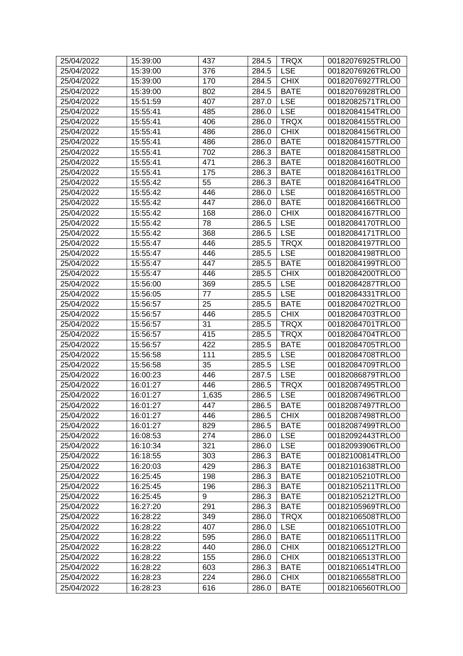| 25/04/2022 | 15:39:00             | 437   | 284.5          | <b>TRQX</b> | 00182076925TRLO0                     |
|------------|----------------------|-------|----------------|-------------|--------------------------------------|
| 25/04/2022 | 15:39:00             | 376   | 284.5          | <b>LSE</b>  | 00182076926TRLO0                     |
| 25/04/2022 | 15:39:00             | 170   | 284.5          | <b>CHIX</b> | 00182076927TRLO0                     |
| 25/04/2022 | 15:39:00             | 802   | 284.5          | <b>BATE</b> | 00182076928TRLO0                     |
| 25/04/2022 | 15:51:59             | 407   | 287.0          | <b>LSE</b>  | 00182082571TRLO0                     |
| 25/04/2022 | 15:55:41             | 485   | 286.0          | <b>LSE</b>  | 00182084154TRLO0                     |
| 25/04/2022 | 15:55:41             | 406   | 286.0          | <b>TRQX</b> | 00182084155TRLO0                     |
| 25/04/2022 | 15:55:41             | 486   | 286.0          | <b>CHIX</b> | 00182084156TRLO0                     |
| 25/04/2022 | 15:55:41             | 486   | 286.0          | <b>BATE</b> | 00182084157TRLO0                     |
| 25/04/2022 | 15:55:41             | 702   | 286.3          | <b>BATE</b> | 00182084158TRLO0                     |
| 25/04/2022 | 15:55:41             | 471   | 286.3          | <b>BATE</b> | 00182084160TRLO0                     |
| 25/04/2022 | 15:55:41             | 175   | 286.3          | <b>BATE</b> | 00182084161TRLO0                     |
| 25/04/2022 | 15:55:42             | 55    | 286.3          | <b>BATE</b> | 00182084164TRLO0                     |
| 25/04/2022 | 15:55:42             | 446   | 286.0          | <b>LSE</b>  | 00182084165TRLO0                     |
| 25/04/2022 | 15:55:42             | 447   | 286.0          | <b>BATE</b> | 00182084166TRLO0                     |
| 25/04/2022 | 15:55:42             | 168   | 286.0          | <b>CHIX</b> | 00182084167TRLO0                     |
| 25/04/2022 | 15:55:42             | 78    | 286.5          | <b>LSE</b>  | 00182084170TRLO0                     |
| 25/04/2022 | 15:55:42             | 368   | 286.5          | <b>LSE</b>  | 00182084171TRLO0                     |
| 25/04/2022 | 15:55:47             | 446   | 285.5          | <b>TRQX</b> | 00182084197TRLO0                     |
| 25/04/2022 | 15:55:47             | 446   | 285.5          | <b>LSE</b>  | 00182084198TRLO0                     |
| 25/04/2022 | 15:55:47             | 447   | 285.5          | <b>BATE</b> | 00182084199TRLO0                     |
| 25/04/2022 | 15:55:47             | 446   | 285.5          | <b>CHIX</b> | 00182084200TRLO0                     |
| 25/04/2022 | 15:56:00             | 369   | 285.5          | <b>LSE</b>  | 00182084287TRLO0                     |
| 25/04/2022 | 15:56:05             | 77    | 285.5          | <b>LSE</b>  | 00182084331TRLO0                     |
| 25/04/2022 | 15:56:57             | 25    | 285.5          | <b>BATE</b> | 00182084702TRLO0                     |
| 25/04/2022 | 15:56:57             | 446   | 285.5          | <b>CHIX</b> | 00182084703TRLO0                     |
| 25/04/2022 | 15:56:57             | 31    | 285.5          | <b>TRQX</b> | 00182084701TRLO0                     |
| 25/04/2022 |                      | 415   | 285.5          | <b>TRQX</b> |                                      |
| 25/04/2022 | 15:56:57             | 422   |                | <b>BATE</b> | 00182084704TRLO0<br>00182084705TRLO0 |
| 25/04/2022 | 15:56:57<br>15:56:58 | 111   | 285.5          | <b>LSE</b>  | 00182084708TRLO0                     |
| 25/04/2022 |                      | 35    | 285.5          | <b>LSE</b>  |                                      |
| 25/04/2022 | 15:56:58<br>16:00:23 | 446   | 285.5<br>287.5 | <b>LSE</b>  | 00182084709TRLO0<br>00182086879TRLO0 |
|            |                      | 446   |                |             |                                      |
| 25/04/2022 | 16:01:27             |       | 286.5          | <b>TRQX</b> | 00182087495TRLO0                     |
| 25/04/2022 | 16:01:27             | 1,635 | 286.5          | <b>LSE</b>  | 00182087496TRLO0                     |
| 25/04/2022 | 16:01:27             | 447   |                | 286.5 BATE  | 00182087497TRLO0                     |
| 25/04/2022 | 16:01:27             | 446   | 286.5          | <b>CHIX</b> | 00182087498TRLO0                     |
| 25/04/2022 | 16:01:27             | 829   | 286.5          | <b>BATE</b> | 00182087499TRLO0                     |
| 25/04/2022 | 16:08:53             | 274   | 286.0          | <b>LSE</b>  | 00182092443TRLO0                     |
| 25/04/2022 | 16:10:34             | 321   | 286.0          | <b>LSE</b>  | 00182093906TRLO0                     |
| 25/04/2022 | 16:18:55             | 303   | 286.3          | <b>BATE</b> | 00182100814TRLO0                     |
| 25/04/2022 | 16:20:03             | 429   | 286.3          | <b>BATE</b> | 00182101638TRLO0                     |
| 25/04/2022 | 16:25:45             | 198   | 286.3          | <b>BATE</b> | 00182105210TRLO0                     |
| 25/04/2022 | 16:25:45             | 196   | 286.3          | <b>BATE</b> | 00182105211TRLO0                     |
| 25/04/2022 | 16:25:45             | 9     | 286.3          | <b>BATE</b> | 00182105212TRLO0                     |
| 25/04/2022 | 16:27:20             | 291   | 286.3          | <b>BATE</b> | 00182105969TRLO0                     |
| 25/04/2022 | 16:28:22             | 349   | 286.0          | <b>TRQX</b> | 00182106508TRLO0                     |
| 25/04/2022 | 16:28:22             | 407   | 286.0          | <b>LSE</b>  | 00182106510TRLO0                     |
| 25/04/2022 | 16:28:22             | 595   | 286.0          | <b>BATE</b> | 00182106511TRLO0                     |
| 25/04/2022 | 16:28:22             | 440   | 286.0          | <b>CHIX</b> | 00182106512TRLO0                     |
| 25/04/2022 | 16:28:22             | 155   | 286.0          | <b>CHIX</b> | 00182106513TRLO0                     |
| 25/04/2022 | 16:28:22             | 603   | 286.3          | <b>BATE</b> | 00182106514TRLO0                     |
| 25/04/2022 | 16:28:23             | 224   | 286.0          | <b>CHIX</b> | 00182106558TRLO0                     |
| 25/04/2022 | 16:28:23             | 616   | 286.0          | <b>BATE</b> | 00182106560TRLO0                     |